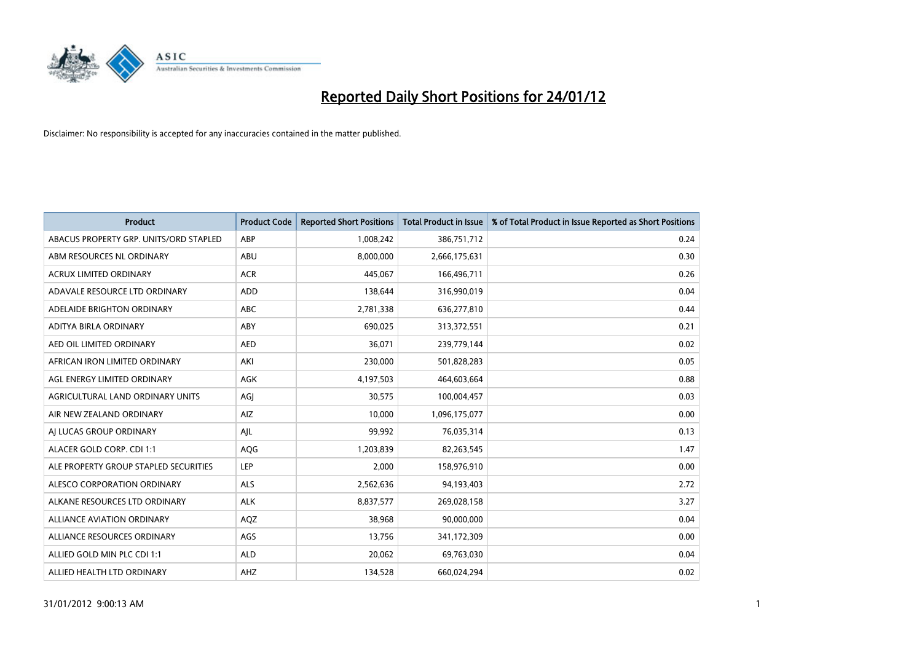

| <b>Product</b>                         | <b>Product Code</b> | <b>Reported Short Positions</b> | <b>Total Product in Issue</b> | % of Total Product in Issue Reported as Short Positions |
|----------------------------------------|---------------------|---------------------------------|-------------------------------|---------------------------------------------------------|
| ABACUS PROPERTY GRP. UNITS/ORD STAPLED | ABP                 | 1,008,242                       | 386,751,712                   | 0.24                                                    |
| ABM RESOURCES NL ORDINARY              | <b>ABU</b>          | 8,000,000                       | 2,666,175,631                 | 0.30                                                    |
| <b>ACRUX LIMITED ORDINARY</b>          | <b>ACR</b>          | 445,067                         | 166,496,711                   | 0.26                                                    |
| ADAVALE RESOURCE LTD ORDINARY          | <b>ADD</b>          | 138,644                         | 316,990,019                   | 0.04                                                    |
| ADELAIDE BRIGHTON ORDINARY             | <b>ABC</b>          | 2,781,338                       | 636,277,810                   | 0.44                                                    |
| ADITYA BIRLA ORDINARY                  | ABY                 | 690,025                         | 313,372,551                   | 0.21                                                    |
| AED OIL LIMITED ORDINARY               | <b>AED</b>          | 36.071                          | 239,779,144                   | 0.02                                                    |
| AFRICAN IRON LIMITED ORDINARY          | AKI                 | 230,000                         | 501,828,283                   | 0.05                                                    |
| AGL ENERGY LIMITED ORDINARY            | <b>AGK</b>          | 4,197,503                       | 464,603,664                   | 0.88                                                    |
| AGRICULTURAL LAND ORDINARY UNITS       | AGI                 | 30,575                          | 100,004,457                   | 0.03                                                    |
| AIR NEW ZEALAND ORDINARY               | AIZ                 | 10,000                          | 1,096,175,077                 | 0.00                                                    |
| AI LUCAS GROUP ORDINARY                | AJL                 | 99,992                          | 76,035,314                    | 0.13                                                    |
| ALACER GOLD CORP. CDI 1:1              | <b>AQG</b>          | 1,203,839                       | 82,263,545                    | 1.47                                                    |
| ALE PROPERTY GROUP STAPLED SECURITIES  | LEP                 | 2,000                           | 158,976,910                   | 0.00                                                    |
| ALESCO CORPORATION ORDINARY            | ALS                 | 2,562,636                       | 94,193,403                    | 2.72                                                    |
| ALKANE RESOURCES LTD ORDINARY          | <b>ALK</b>          | 8,837,577                       | 269,028,158                   | 3.27                                                    |
| ALLIANCE AVIATION ORDINARY             | AQZ                 | 38,968                          | 90,000,000                    | 0.04                                                    |
| ALLIANCE RESOURCES ORDINARY            | AGS                 | 13,756                          | 341,172,309                   | 0.00                                                    |
| ALLIED GOLD MIN PLC CDI 1:1            | <b>ALD</b>          | 20,062                          | 69,763,030                    | 0.04                                                    |
| ALLIED HEALTH LTD ORDINARY             | AHZ                 | 134,528                         | 660.024.294                   | 0.02                                                    |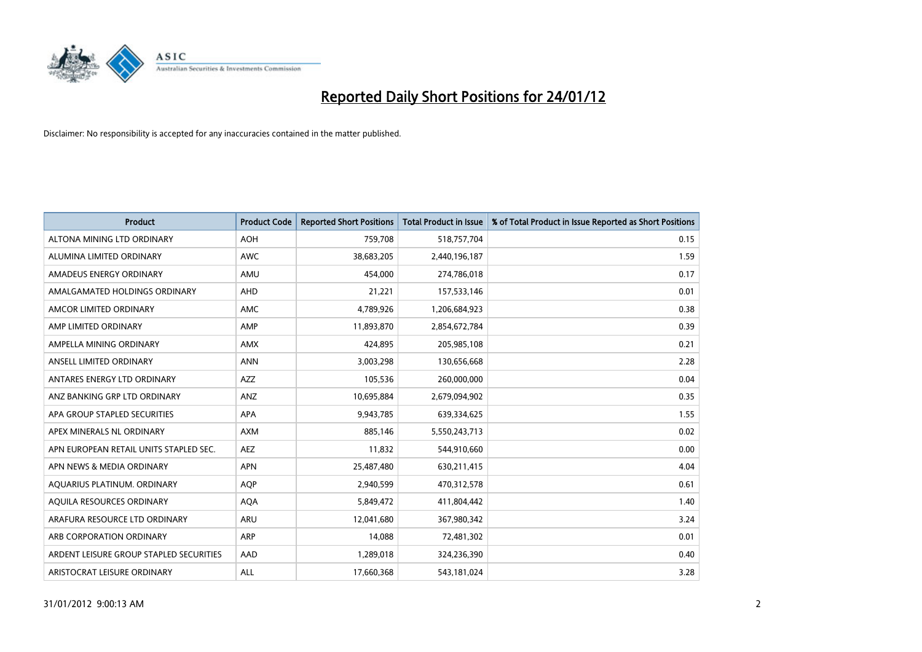

| <b>Product</b>                          | <b>Product Code</b> | <b>Reported Short Positions</b> | <b>Total Product in Issue</b> | % of Total Product in Issue Reported as Short Positions |
|-----------------------------------------|---------------------|---------------------------------|-------------------------------|---------------------------------------------------------|
| ALTONA MINING LTD ORDINARY              | <b>AOH</b>          | 759,708                         | 518,757,704                   | 0.15                                                    |
| ALUMINA LIMITED ORDINARY                | <b>AWC</b>          | 38,683,205                      | 2,440,196,187                 | 1.59                                                    |
| AMADEUS ENERGY ORDINARY                 | AMU                 | 454,000                         | 274,786,018                   | 0.17                                                    |
| AMALGAMATED HOLDINGS ORDINARY           | <b>AHD</b>          | 21,221                          | 157,533,146                   | 0.01                                                    |
| AMCOR LIMITED ORDINARY                  | <b>AMC</b>          | 4,789,926                       | 1,206,684,923                 | 0.38                                                    |
| AMP LIMITED ORDINARY                    | AMP                 | 11,893,870                      | 2,854,672,784                 | 0.39                                                    |
| AMPELLA MINING ORDINARY                 | <b>AMX</b>          | 424,895                         | 205,985,108                   | 0.21                                                    |
| ANSELL LIMITED ORDINARY                 | <b>ANN</b>          | 3,003,298                       | 130,656,668                   | 2.28                                                    |
| ANTARES ENERGY LTD ORDINARY             | AZZ                 | 105,536                         | 260,000,000                   | 0.04                                                    |
| ANZ BANKING GRP LTD ORDINARY            | ANZ                 | 10,695,884                      | 2,679,094,902                 | 0.35                                                    |
| APA GROUP STAPLED SECURITIES            | <b>APA</b>          | 9,943,785                       | 639,334,625                   | 1.55                                                    |
| APEX MINERALS NL ORDINARY               | <b>AXM</b>          | 885,146                         | 5,550,243,713                 | 0.02                                                    |
| APN EUROPEAN RETAIL UNITS STAPLED SEC.  | <b>AEZ</b>          | 11,832                          | 544,910,660                   | 0.00                                                    |
| APN NEWS & MEDIA ORDINARY               | <b>APN</b>          | 25,487,480                      | 630,211,415                   | 4.04                                                    |
| AQUARIUS PLATINUM. ORDINARY             | <b>AOP</b>          | 2,940,599                       | 470,312,578                   | 0.61                                                    |
| AQUILA RESOURCES ORDINARY               | <b>AQA</b>          | 5,849,472                       | 411,804,442                   | 1.40                                                    |
| ARAFURA RESOURCE LTD ORDINARY           | <b>ARU</b>          | 12,041,680                      | 367,980,342                   | 3.24                                                    |
| ARB CORPORATION ORDINARY                | <b>ARP</b>          | 14,088                          | 72,481,302                    | 0.01                                                    |
| ARDENT LEISURE GROUP STAPLED SECURITIES | AAD                 | 1,289,018                       | 324,236,390                   | 0.40                                                    |
| ARISTOCRAT LEISURE ORDINARY             | <b>ALL</b>          | 17,660,368                      | 543,181,024                   | 3.28                                                    |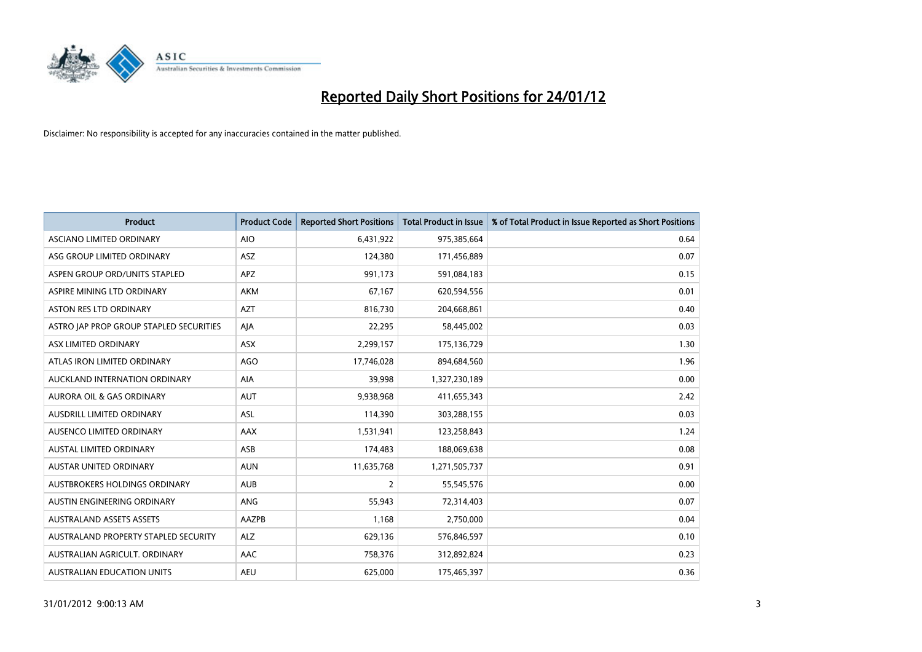

| <b>Product</b>                          | <b>Product Code</b> | <b>Reported Short Positions</b> | <b>Total Product in Issue</b> | % of Total Product in Issue Reported as Short Positions |
|-----------------------------------------|---------------------|---------------------------------|-------------------------------|---------------------------------------------------------|
| ASCIANO LIMITED ORDINARY                | <b>AIO</b>          | 6,431,922                       | 975,385,664                   | 0.64                                                    |
| ASG GROUP LIMITED ORDINARY              | <b>ASZ</b>          | 124,380                         | 171,456,889                   | 0.07                                                    |
| ASPEN GROUP ORD/UNITS STAPLED           | <b>APZ</b>          | 991,173                         | 591,084,183                   | 0.15                                                    |
| ASPIRE MINING LTD ORDINARY              | <b>AKM</b>          | 67,167                          | 620,594,556                   | 0.01                                                    |
| <b>ASTON RES LTD ORDINARY</b>           | <b>AZT</b>          | 816,730                         | 204,668,861                   | 0.40                                                    |
| ASTRO JAP PROP GROUP STAPLED SECURITIES | AJA                 | 22,295                          | 58,445,002                    | 0.03                                                    |
| ASX LIMITED ORDINARY                    | <b>ASX</b>          | 2,299,157                       | 175,136,729                   | 1.30                                                    |
| ATLAS IRON LIMITED ORDINARY             | AGO                 | 17,746,028                      | 894,684,560                   | 1.96                                                    |
| AUCKLAND INTERNATION ORDINARY           | <b>AIA</b>          | 39,998                          | 1,327,230,189                 | 0.00                                                    |
| <b>AURORA OIL &amp; GAS ORDINARY</b>    | <b>AUT</b>          | 9,938,968                       | 411,655,343                   | 2.42                                                    |
| AUSDRILL LIMITED ORDINARY               | <b>ASL</b>          | 114,390                         | 303,288,155                   | 0.03                                                    |
| AUSENCO LIMITED ORDINARY                | AAX                 | 1,531,941                       | 123,258,843                   | 1.24                                                    |
| <b>AUSTAL LIMITED ORDINARY</b>          | ASB                 | 174,483                         | 188,069,638                   | 0.08                                                    |
| <b>AUSTAR UNITED ORDINARY</b>           | <b>AUN</b>          | 11,635,768                      | 1,271,505,737                 | 0.91                                                    |
| AUSTBROKERS HOLDINGS ORDINARY           | <b>AUB</b>          | 2                               | 55,545,576                    | 0.00                                                    |
| AUSTIN ENGINEERING ORDINARY             | ANG                 | 55,943                          | 72,314,403                    | 0.07                                                    |
| <b>AUSTRALAND ASSETS ASSETS</b>         | AAZPB               | 1,168                           | 2,750,000                     | 0.04                                                    |
| AUSTRALAND PROPERTY STAPLED SECURITY    | <b>ALZ</b>          | 629,136                         | 576,846,597                   | 0.10                                                    |
| AUSTRALIAN AGRICULT, ORDINARY           | AAC                 | 758,376                         | 312,892,824                   | 0.23                                                    |
| AUSTRALIAN EDUCATION UNITS              | <b>AEU</b>          | 625.000                         | 175,465,397                   | 0.36                                                    |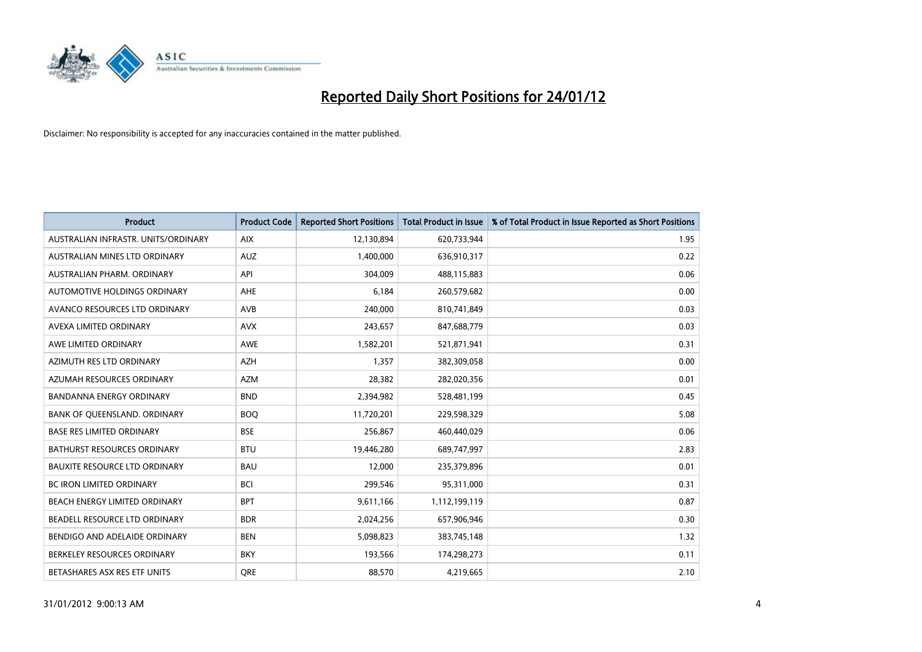

| <b>Product</b>                       | <b>Product Code</b> | <b>Reported Short Positions</b> | <b>Total Product in Issue</b> | % of Total Product in Issue Reported as Short Positions |
|--------------------------------------|---------------------|---------------------------------|-------------------------------|---------------------------------------------------------|
| AUSTRALIAN INFRASTR, UNITS/ORDINARY  | <b>AIX</b>          | 12,130,894                      | 620,733,944                   | 1.95                                                    |
| AUSTRALIAN MINES LTD ORDINARY        | <b>AUZ</b>          | 1,400,000                       | 636,910,317                   | 0.22                                                    |
| AUSTRALIAN PHARM, ORDINARY           | API                 | 304.009                         | 488,115,883                   | 0.06                                                    |
| AUTOMOTIVE HOLDINGS ORDINARY         | <b>AHE</b>          | 6,184                           | 260,579,682                   | 0.00                                                    |
| AVANCO RESOURCES LTD ORDINARY        | AVB                 | 240,000                         | 810,741,849                   | 0.03                                                    |
| AVEXA LIMITED ORDINARY               | <b>AVX</b>          | 243,657                         | 847,688,779                   | 0.03                                                    |
| AWE LIMITED ORDINARY                 | AWE                 | 1,582,201                       | 521,871,941                   | 0.31                                                    |
| AZIMUTH RES LTD ORDINARY             | <b>AZH</b>          | 1,357                           | 382,309,058                   | 0.00                                                    |
| AZUMAH RESOURCES ORDINARY            | <b>AZM</b>          | 28,382                          | 282,020,356                   | 0.01                                                    |
| <b>BANDANNA ENERGY ORDINARY</b>      | <b>BND</b>          | 2,394,982                       | 528,481,199                   | 0.45                                                    |
| BANK OF QUEENSLAND. ORDINARY         | <b>BOQ</b>          | 11,720,201                      | 229,598,329                   | 5.08                                                    |
| <b>BASE RES LIMITED ORDINARY</b>     | <b>BSE</b>          | 256,867                         | 460,440,029                   | 0.06                                                    |
| BATHURST RESOURCES ORDINARY          | <b>BTU</b>          | 19,446,280                      | 689,747,997                   | 2.83                                                    |
| <b>BAUXITE RESOURCE LTD ORDINARY</b> | <b>BAU</b>          | 12,000                          | 235,379,896                   | 0.01                                                    |
| <b>BC IRON LIMITED ORDINARY</b>      | <b>BCI</b>          | 299,546                         | 95,311,000                    | 0.31                                                    |
| BEACH ENERGY LIMITED ORDINARY        | <b>BPT</b>          | 9,611,166                       | 1,112,199,119                 | 0.87                                                    |
| BEADELL RESOURCE LTD ORDINARY        | <b>BDR</b>          | 2,024,256                       | 657,906,946                   | 0.30                                                    |
| BENDIGO AND ADELAIDE ORDINARY        | <b>BEN</b>          | 5,098,823                       | 383,745,148                   | 1.32                                                    |
| BERKELEY RESOURCES ORDINARY          | <b>BKY</b>          | 193,566                         | 174,298,273                   | 0.11                                                    |
| BETASHARES ASX RES ETF UNITS         | <b>ORE</b>          | 88,570                          | 4,219,665                     | 2.10                                                    |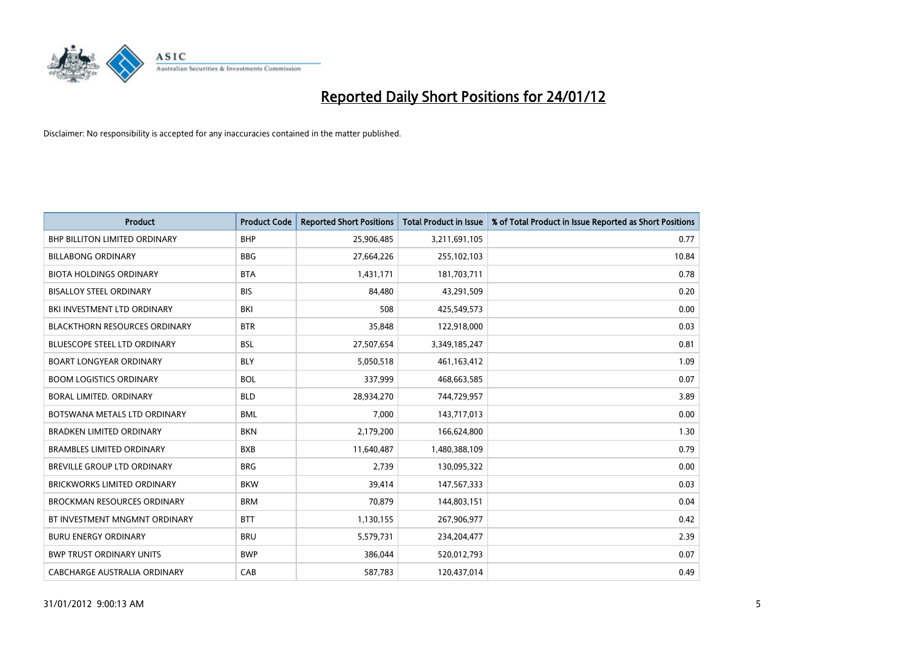

| <b>Product</b>                       | <b>Product Code</b> | <b>Reported Short Positions</b> | <b>Total Product in Issue</b> | % of Total Product in Issue Reported as Short Positions |
|--------------------------------------|---------------------|---------------------------------|-------------------------------|---------------------------------------------------------|
| <b>BHP BILLITON LIMITED ORDINARY</b> | <b>BHP</b>          | 25,906,485                      | 3,211,691,105                 | 0.77                                                    |
| <b>BILLABONG ORDINARY</b>            | <b>BBG</b>          | 27,664,226                      | 255,102,103                   | 10.84                                                   |
| <b>BIOTA HOLDINGS ORDINARY</b>       | <b>BTA</b>          | 1,431,171                       | 181,703,711                   | 0.78                                                    |
| <b>BISALLOY STEEL ORDINARY</b>       | <b>BIS</b>          | 84,480                          | 43,291,509                    | 0.20                                                    |
| BKI INVESTMENT LTD ORDINARY          | BKI                 | 508                             | 425,549,573                   | 0.00                                                    |
| <b>BLACKTHORN RESOURCES ORDINARY</b> | <b>BTR</b>          | 35,848                          | 122,918,000                   | 0.03                                                    |
| <b>BLUESCOPE STEEL LTD ORDINARY</b>  | <b>BSL</b>          | 27,507,654                      | 3,349,185,247                 | 0.81                                                    |
| <b>BOART LONGYEAR ORDINARY</b>       | <b>BLY</b>          | 5,050,518                       | 461,163,412                   | 1.09                                                    |
| <b>BOOM LOGISTICS ORDINARY</b>       | <b>BOL</b>          | 337,999                         | 468,663,585                   | 0.07                                                    |
| BORAL LIMITED, ORDINARY              | <b>BLD</b>          | 28,934,270                      | 744,729,957                   | 3.89                                                    |
| BOTSWANA METALS LTD ORDINARY         | <b>BML</b>          | 7,000                           | 143,717,013                   | 0.00                                                    |
| <b>BRADKEN LIMITED ORDINARY</b>      | <b>BKN</b>          | 2,179,200                       | 166,624,800                   | 1.30                                                    |
| <b>BRAMBLES LIMITED ORDINARY</b>     | <b>BXB</b>          | 11,640,487                      | 1,480,388,109                 | 0.79                                                    |
| <b>BREVILLE GROUP LTD ORDINARY</b>   | <b>BRG</b>          | 2,739                           | 130,095,322                   | 0.00                                                    |
| <b>BRICKWORKS LIMITED ORDINARY</b>   | <b>BKW</b>          | 39,414                          | 147,567,333                   | 0.03                                                    |
| <b>BROCKMAN RESOURCES ORDINARY</b>   | <b>BRM</b>          | 70,879                          | 144,803,151                   | 0.04                                                    |
| BT INVESTMENT MNGMNT ORDINARY        | <b>BTT</b>          | 1,130,155                       | 267,906,977                   | 0.42                                                    |
| <b>BURU ENERGY ORDINARY</b>          | <b>BRU</b>          | 5,579,731                       | 234,204,477                   | 2.39                                                    |
| <b>BWP TRUST ORDINARY UNITS</b>      | <b>BWP</b>          | 386,044                         | 520,012,793                   | 0.07                                                    |
| CABCHARGE AUSTRALIA ORDINARY         | CAB                 | 587,783                         | 120.437.014                   | 0.49                                                    |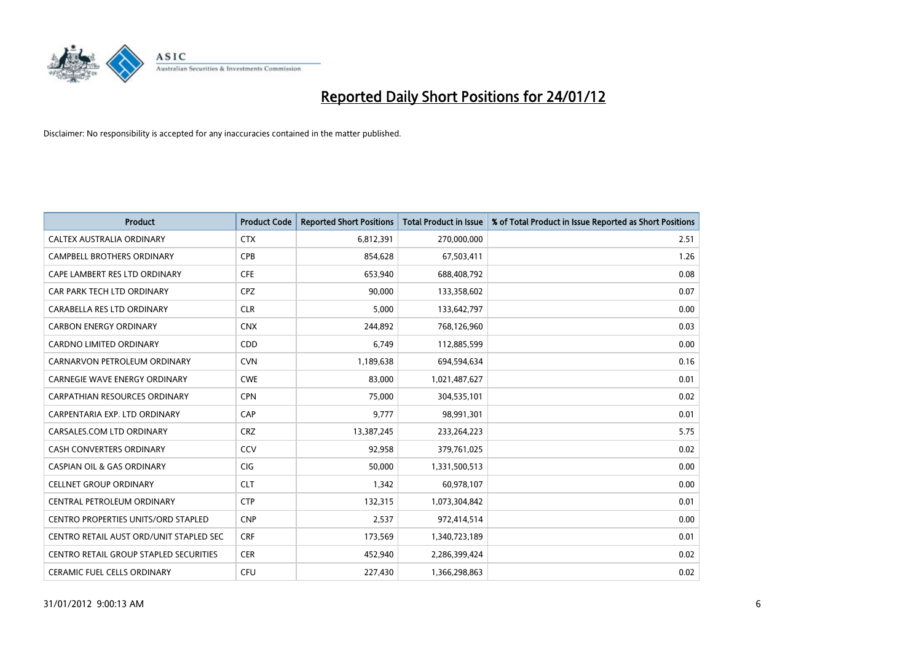

| <b>Product</b>                             | <b>Product Code</b> | <b>Reported Short Positions</b> | <b>Total Product in Issue</b> | % of Total Product in Issue Reported as Short Positions |
|--------------------------------------------|---------------------|---------------------------------|-------------------------------|---------------------------------------------------------|
| CALTEX AUSTRALIA ORDINARY                  | <b>CTX</b>          | 6,812,391                       | 270,000,000                   | 2.51                                                    |
| <b>CAMPBELL BROTHERS ORDINARY</b>          | <b>CPB</b>          | 854,628                         | 67,503,411                    | 1.26                                                    |
| CAPE LAMBERT RES LTD ORDINARY              | <b>CFE</b>          | 653,940                         | 688,408,792                   | 0.08                                                    |
| CAR PARK TECH LTD ORDINARY                 | CPZ                 | 90,000                          | 133,358,602                   | 0.07                                                    |
| <b>CARABELLA RES LTD ORDINARY</b>          | <b>CLR</b>          | 5.000                           | 133,642,797                   | 0.00                                                    |
| <b>CARBON ENERGY ORDINARY</b>              | <b>CNX</b>          | 244,892                         | 768,126,960                   | 0.03                                                    |
| <b>CARDNO LIMITED ORDINARY</b>             | CDD                 | 6.749                           | 112,885,599                   | 0.00                                                    |
| CARNARVON PETROLEUM ORDINARY               | <b>CVN</b>          | 1,189,638                       | 694,594,634                   | 0.16                                                    |
| CARNEGIE WAVE ENERGY ORDINARY              | <b>CWE</b>          | 83,000                          | 1,021,487,627                 | 0.01                                                    |
| CARPATHIAN RESOURCES ORDINARY              | <b>CPN</b>          | 75.000                          | 304,535,101                   | 0.02                                                    |
| CARPENTARIA EXP. LTD ORDINARY              | CAP                 | 9,777                           | 98,991,301                    | 0.01                                                    |
| CARSALES.COM LTD ORDINARY                  | <b>CRZ</b>          | 13,387,245                      | 233,264,223                   | 5.75                                                    |
| <b>CASH CONVERTERS ORDINARY</b>            | CCV                 | 92,958                          | 379,761,025                   | 0.02                                                    |
| <b>CASPIAN OIL &amp; GAS ORDINARY</b>      | <b>CIG</b>          | 50.000                          | 1,331,500,513                 | 0.00                                                    |
| <b>CELLNET GROUP ORDINARY</b>              | <b>CLT</b>          | 1,342                           | 60,978,107                    | 0.00                                                    |
| CENTRAL PETROLEUM ORDINARY                 | <b>CTP</b>          | 132,315                         | 1,073,304,842                 | 0.01                                                    |
| <b>CENTRO PROPERTIES UNITS/ORD STAPLED</b> | <b>CNP</b>          | 2,537                           | 972,414,514                   | 0.00                                                    |
| CENTRO RETAIL AUST ORD/UNIT STAPLED SEC    | <b>CRF</b>          | 173,569                         | 1,340,723,189                 | 0.01                                                    |
| CENTRO RETAIL GROUP STAPLED SECURITIES     | <b>CER</b>          | 452,940                         | 2,286,399,424                 | 0.02                                                    |
| <b>CERAMIC FUEL CELLS ORDINARY</b>         | CFU                 | 227.430                         | 1,366,298,863                 | 0.02                                                    |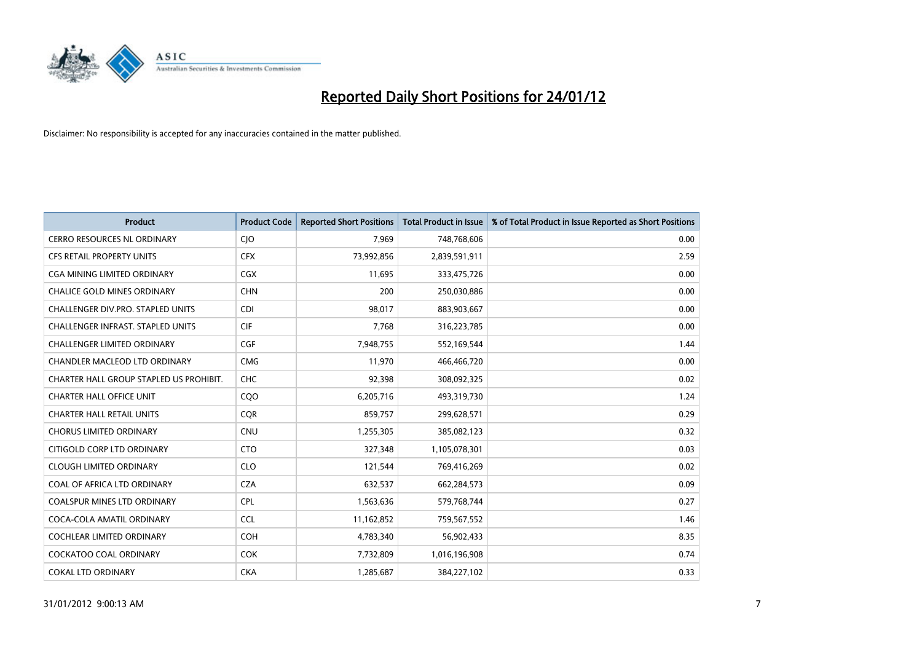

| <b>Product</b>                           | <b>Product Code</b> | <b>Reported Short Positions</b> | <b>Total Product in Issue</b> | % of Total Product in Issue Reported as Short Positions |
|------------------------------------------|---------------------|---------------------------------|-------------------------------|---------------------------------------------------------|
| <b>CERRO RESOURCES NL ORDINARY</b>       | <b>CIO</b>          | 7,969                           | 748,768,606                   | 0.00                                                    |
| CFS RETAIL PROPERTY UNITS                | <b>CFX</b>          | 73,992,856                      | 2,839,591,911                 | 2.59                                                    |
| <b>CGA MINING LIMITED ORDINARY</b>       | <b>CGX</b>          | 11,695                          | 333,475,726                   | 0.00                                                    |
| CHALICE GOLD MINES ORDINARY              | <b>CHN</b>          | 200                             | 250,030,886                   | 0.00                                                    |
| CHALLENGER DIV.PRO. STAPLED UNITS        | <b>CDI</b>          | 98,017                          | 883,903,667                   | 0.00                                                    |
| <b>CHALLENGER INFRAST, STAPLED UNITS</b> | <b>CIF</b>          | 7,768                           | 316,223,785                   | 0.00                                                    |
| <b>CHALLENGER LIMITED ORDINARY</b>       | <b>CGF</b>          | 7,948,755                       | 552,169,544                   | 1.44                                                    |
| CHANDLER MACLEOD LTD ORDINARY            | <b>CMG</b>          | 11,970                          | 466,466,720                   | 0.00                                                    |
| CHARTER HALL GROUP STAPLED US PROHIBIT.  | <b>CHC</b>          | 92,398                          | 308,092,325                   | 0.02                                                    |
| <b>CHARTER HALL OFFICE UNIT</b>          | CQ <sub>O</sub>     | 6,205,716                       | 493,319,730                   | 1.24                                                    |
| <b>CHARTER HALL RETAIL UNITS</b>         | <b>COR</b>          | 859,757                         | 299,628,571                   | 0.29                                                    |
| <b>CHORUS LIMITED ORDINARY</b>           | <b>CNU</b>          | 1,255,305                       | 385,082,123                   | 0.32                                                    |
| CITIGOLD CORP LTD ORDINARY               | <b>CTO</b>          | 327,348                         | 1,105,078,301                 | 0.03                                                    |
| <b>CLOUGH LIMITED ORDINARY</b>           | <b>CLO</b>          | 121,544                         | 769,416,269                   | 0.02                                                    |
| COAL OF AFRICA LTD ORDINARY              | <b>CZA</b>          | 632,537                         | 662,284,573                   | 0.09                                                    |
| COALSPUR MINES LTD ORDINARY              | <b>CPL</b>          | 1,563,636                       | 579,768,744                   | 0.27                                                    |
| COCA-COLA AMATIL ORDINARY                | <b>CCL</b>          | 11,162,852                      | 759,567,552                   | 1.46                                                    |
| COCHLEAR LIMITED ORDINARY                | <b>COH</b>          | 4,783,340                       | 56,902,433                    | 8.35                                                    |
| COCKATOO COAL ORDINARY                   | <b>COK</b>          | 7,732,809                       | 1,016,196,908                 | 0.74                                                    |
| <b>COKAL LTD ORDINARY</b>                | <b>CKA</b>          | 1,285,687                       | 384,227,102                   | 0.33                                                    |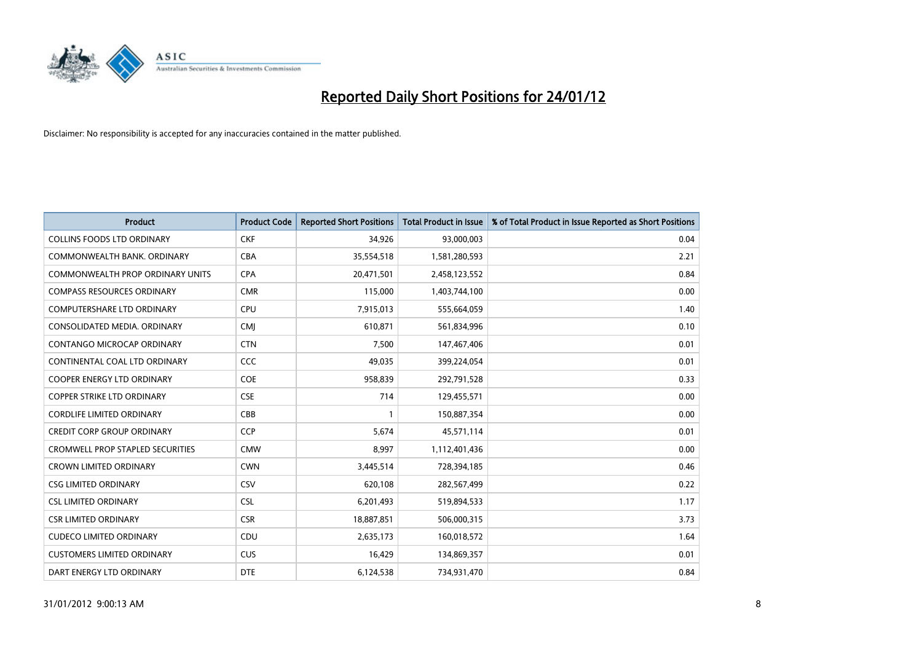

| <b>Product</b>                          | <b>Product Code</b> | <b>Reported Short Positions</b> | <b>Total Product in Issue</b> | % of Total Product in Issue Reported as Short Positions |
|-----------------------------------------|---------------------|---------------------------------|-------------------------------|---------------------------------------------------------|
| <b>COLLINS FOODS LTD ORDINARY</b>       | <b>CKF</b>          | 34,926                          | 93,000,003                    | 0.04                                                    |
| COMMONWEALTH BANK, ORDINARY             | <b>CBA</b>          | 35,554,518                      | 1,581,280,593                 | 2.21                                                    |
| COMMONWEALTH PROP ORDINARY UNITS        | <b>CPA</b>          | 20,471,501                      | 2,458,123,552                 | 0.84                                                    |
| <b>COMPASS RESOURCES ORDINARY</b>       | <b>CMR</b>          | 115,000                         | 1,403,744,100                 | 0.00                                                    |
| <b>COMPUTERSHARE LTD ORDINARY</b>       | <b>CPU</b>          | 7,915,013                       | 555,664,059                   | 1.40                                                    |
| CONSOLIDATED MEDIA, ORDINARY            | <b>CMI</b>          | 610,871                         | 561,834,996                   | 0.10                                                    |
| <b>CONTANGO MICROCAP ORDINARY</b>       | <b>CTN</b>          | 7.500                           | 147,467,406                   | 0.01                                                    |
| CONTINENTAL COAL LTD ORDINARY           | CCC                 | 49,035                          | 399,224,054                   | 0.01                                                    |
| COOPER ENERGY LTD ORDINARY              | <b>COE</b>          | 958,839                         | 292,791,528                   | 0.33                                                    |
| <b>COPPER STRIKE LTD ORDINARY</b>       | <b>CSE</b>          | 714                             | 129,455,571                   | 0.00                                                    |
| <b>CORDLIFE LIMITED ORDINARY</b>        | CBB                 |                                 | 150,887,354                   | 0.00                                                    |
| <b>CREDIT CORP GROUP ORDINARY</b>       | <b>CCP</b>          | 5,674                           | 45,571,114                    | 0.01                                                    |
| <b>CROMWELL PROP STAPLED SECURITIES</b> | <b>CMW</b>          | 8,997                           | 1,112,401,436                 | 0.00                                                    |
| <b>CROWN LIMITED ORDINARY</b>           | <b>CWN</b>          | 3,445,514                       | 728,394,185                   | 0.46                                                    |
| <b>CSG LIMITED ORDINARY</b>             | CSV                 | 620,108                         | 282,567,499                   | 0.22                                                    |
| <b>CSL LIMITED ORDINARY</b>             | <b>CSL</b>          | 6,201,493                       | 519,894,533                   | 1.17                                                    |
| <b>CSR LIMITED ORDINARY</b>             | <b>CSR</b>          | 18,887,851                      | 506,000,315                   | 3.73                                                    |
| <b>CUDECO LIMITED ORDINARY</b>          | <b>CDU</b>          | 2,635,173                       | 160,018,572                   | 1.64                                                    |
| <b>CUSTOMERS LIMITED ORDINARY</b>       | <b>CUS</b>          | 16,429                          | 134,869,357                   | 0.01                                                    |
| DART ENERGY LTD ORDINARY                | <b>DTE</b>          | 6,124,538                       | 734,931,470                   | 0.84                                                    |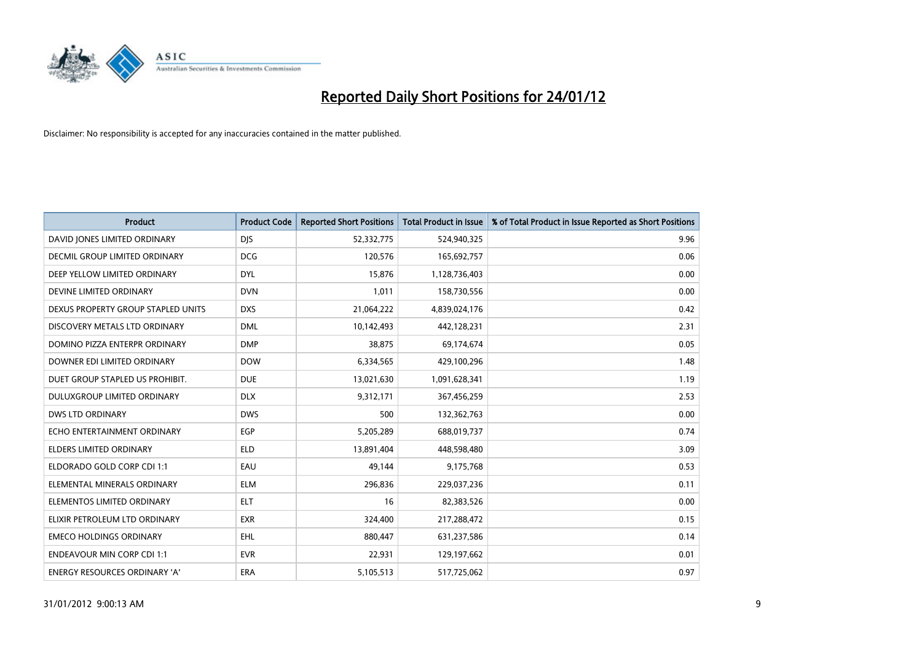

| <b>Product</b>                       | <b>Product Code</b> | <b>Reported Short Positions</b> | <b>Total Product in Issue</b> | % of Total Product in Issue Reported as Short Positions |
|--------------------------------------|---------------------|---------------------------------|-------------------------------|---------------------------------------------------------|
| DAVID JONES LIMITED ORDINARY         | <b>DIS</b>          | 52,332,775                      | 524,940,325                   | 9.96                                                    |
| <b>DECMIL GROUP LIMITED ORDINARY</b> | <b>DCG</b>          | 120,576                         | 165,692,757                   | 0.06                                                    |
| DEEP YELLOW LIMITED ORDINARY         | <b>DYL</b>          | 15,876                          | 1,128,736,403                 | 0.00                                                    |
| DEVINE LIMITED ORDINARY              | <b>DVN</b>          | 1,011                           | 158,730,556                   | 0.00                                                    |
| DEXUS PROPERTY GROUP STAPLED UNITS   | <b>DXS</b>          | 21,064,222                      | 4,839,024,176                 | 0.42                                                    |
| DISCOVERY METALS LTD ORDINARY        | <b>DML</b>          | 10,142,493                      | 442,128,231                   | 2.31                                                    |
| DOMINO PIZZA ENTERPR ORDINARY        | <b>DMP</b>          | 38,875                          | 69,174,674                    | 0.05                                                    |
| DOWNER EDI LIMITED ORDINARY          | <b>DOW</b>          | 6,334,565                       | 429,100,296                   | 1.48                                                    |
| DUET GROUP STAPLED US PROHIBIT.      | <b>DUE</b>          | 13,021,630                      | 1,091,628,341                 | 1.19                                                    |
| DULUXGROUP LIMITED ORDINARY          | <b>DLX</b>          | 9,312,171                       | 367,456,259                   | 2.53                                                    |
| DWS LTD ORDINARY                     | <b>DWS</b>          | 500                             | 132,362,763                   | 0.00                                                    |
| ECHO ENTERTAINMENT ORDINARY          | <b>EGP</b>          | 5,205,289                       | 688,019,737                   | 0.74                                                    |
| <b>ELDERS LIMITED ORDINARY</b>       | <b>ELD</b>          | 13,891,404                      | 448,598,480                   | 3.09                                                    |
| ELDORADO GOLD CORP CDI 1:1           | EAU                 | 49,144                          | 9,175,768                     | 0.53                                                    |
| ELEMENTAL MINERALS ORDINARY          | <b>ELM</b>          | 296,836                         | 229,037,236                   | 0.11                                                    |
| ELEMENTOS LIMITED ORDINARY           | <b>ELT</b>          | 16                              | 82,383,526                    | 0.00                                                    |
| ELIXIR PETROLEUM LTD ORDINARY        | <b>EXR</b>          | 324,400                         | 217,288,472                   | 0.15                                                    |
| <b>EMECO HOLDINGS ORDINARY</b>       | <b>EHL</b>          | 880.447                         | 631,237,586                   | 0.14                                                    |
| <b>ENDEAVOUR MIN CORP CDI 1:1</b>    | <b>EVR</b>          | 22,931                          | 129,197,662                   | 0.01                                                    |
| ENERGY RESOURCES ORDINARY 'A'        | ERA                 | 5,105,513                       | 517,725,062                   | 0.97                                                    |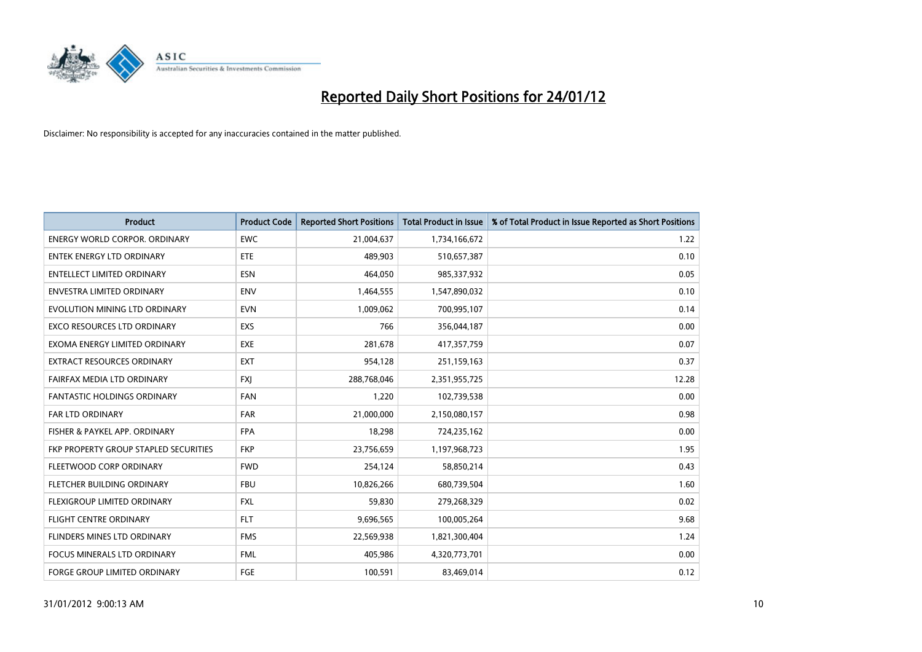

| <b>Product</b>                        | <b>Product Code</b> | <b>Reported Short Positions</b> | <b>Total Product in Issue</b> | % of Total Product in Issue Reported as Short Positions |
|---------------------------------------|---------------------|---------------------------------|-------------------------------|---------------------------------------------------------|
| <b>ENERGY WORLD CORPOR, ORDINARY</b>  | <b>EWC</b>          | 21,004,637                      | 1,734,166,672                 | 1.22                                                    |
| <b>ENTEK ENERGY LTD ORDINARY</b>      | <b>ETE</b>          | 489,903                         | 510,657,387                   | 0.10                                                    |
| <b>ENTELLECT LIMITED ORDINARY</b>     | <b>ESN</b>          | 464,050                         | 985,337,932                   | 0.05                                                    |
| ENVESTRA LIMITED ORDINARY             | <b>ENV</b>          | 1,464,555                       | 1,547,890,032                 | 0.10                                                    |
| EVOLUTION MINING LTD ORDINARY         | <b>EVN</b>          | 1,009,062                       | 700,995,107                   | 0.14                                                    |
| <b>EXCO RESOURCES LTD ORDINARY</b>    | <b>EXS</b>          | 766                             | 356,044,187                   | 0.00                                                    |
| EXOMA ENERGY LIMITED ORDINARY         | <b>EXE</b>          | 281,678                         | 417,357,759                   | 0.07                                                    |
| EXTRACT RESOURCES ORDINARY            | <b>EXT</b>          | 954,128                         | 251,159,163                   | 0.37                                                    |
| FAIRFAX MEDIA LTD ORDINARY            | <b>FXI</b>          | 288,768,046                     | 2,351,955,725                 | 12.28                                                   |
| <b>FANTASTIC HOLDINGS ORDINARY</b>    | <b>FAN</b>          | 1,220                           | 102,739,538                   | 0.00                                                    |
| FAR LTD ORDINARY                      | <b>FAR</b>          | 21,000,000                      | 2,150,080,157                 | 0.98                                                    |
| FISHER & PAYKEL APP. ORDINARY         | <b>FPA</b>          | 18,298                          | 724,235,162                   | 0.00                                                    |
| FKP PROPERTY GROUP STAPLED SECURITIES | <b>FKP</b>          | 23,756,659                      | 1,197,968,723                 | 1.95                                                    |
| FLEETWOOD CORP ORDINARY               | <b>FWD</b>          | 254,124                         | 58,850,214                    | 0.43                                                    |
| FLETCHER BUILDING ORDINARY            | <b>FBU</b>          | 10,826,266                      | 680,739,504                   | 1.60                                                    |
| FLEXIGROUP LIMITED ORDINARY           | <b>FXL</b>          | 59,830                          | 279,268,329                   | 0.02                                                    |
| FLIGHT CENTRE ORDINARY                | <b>FLT</b>          | 9,696,565                       | 100,005,264                   | 9.68                                                    |
| FLINDERS MINES LTD ORDINARY           | <b>FMS</b>          | 22,569,938                      | 1,821,300,404                 | 1.24                                                    |
| <b>FOCUS MINERALS LTD ORDINARY</b>    | <b>FML</b>          | 405,986                         | 4,320,773,701                 | 0.00                                                    |
| FORGE GROUP LIMITED ORDINARY          | FGE                 | 100,591                         | 83,469,014                    | 0.12                                                    |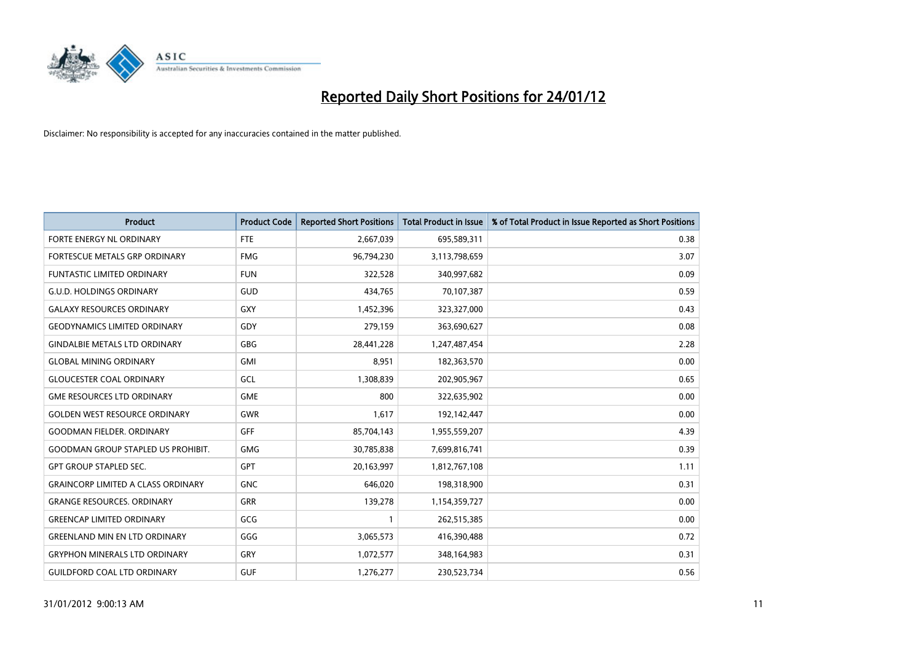

| <b>Product</b>                            | <b>Product Code</b> | <b>Reported Short Positions</b> | <b>Total Product in Issue</b> | % of Total Product in Issue Reported as Short Positions |
|-------------------------------------------|---------------------|---------------------------------|-------------------------------|---------------------------------------------------------|
| FORTE ENERGY NL ORDINARY                  | <b>FTE</b>          | 2,667,039                       | 695,589,311                   | 0.38                                                    |
| FORTESCUE METALS GRP ORDINARY             | <b>FMG</b>          | 96,794,230                      | 3,113,798,659                 | 3.07                                                    |
| FUNTASTIC LIMITED ORDINARY                | <b>FUN</b>          | 322,528                         | 340,997,682                   | 0.09                                                    |
| <b>G.U.D. HOLDINGS ORDINARY</b>           | GUD                 | 434,765                         | 70,107,387                    | 0.59                                                    |
| <b>GALAXY RESOURCES ORDINARY</b>          | <b>GXY</b>          | 1,452,396                       | 323,327,000                   | 0.43                                                    |
| <b>GEODYNAMICS LIMITED ORDINARY</b>       | GDY                 | 279,159                         | 363,690,627                   | 0.08                                                    |
| <b>GINDALBIE METALS LTD ORDINARY</b>      | <b>GBG</b>          | 28,441,228                      | 1,247,487,454                 | 2.28                                                    |
| <b>GLOBAL MINING ORDINARY</b>             | <b>GMI</b>          | 8,951                           | 182,363,570                   | 0.00                                                    |
| <b>GLOUCESTER COAL ORDINARY</b>           | GCL                 | 1,308,839                       | 202,905,967                   | 0.65                                                    |
| <b>GME RESOURCES LTD ORDINARY</b>         | <b>GME</b>          | 800                             | 322,635,902                   | 0.00                                                    |
| <b>GOLDEN WEST RESOURCE ORDINARY</b>      | <b>GWR</b>          | 1,617                           | 192,142,447                   | 0.00                                                    |
| <b>GOODMAN FIELDER, ORDINARY</b>          | <b>GFF</b>          | 85,704,143                      | 1,955,559,207                 | 4.39                                                    |
| <b>GOODMAN GROUP STAPLED US PROHIBIT.</b> | <b>GMG</b>          | 30,785,838                      | 7,699,816,741                 | 0.39                                                    |
| <b>GPT GROUP STAPLED SEC.</b>             | <b>GPT</b>          | 20,163,997                      | 1,812,767,108                 | 1.11                                                    |
| <b>GRAINCORP LIMITED A CLASS ORDINARY</b> | <b>GNC</b>          | 646,020                         | 198,318,900                   | 0.31                                                    |
| <b>GRANGE RESOURCES. ORDINARY</b>         | GRR                 | 139,278                         | 1,154,359,727                 | 0.00                                                    |
| <b>GREENCAP LIMITED ORDINARY</b>          | GCG                 |                                 | 262,515,385                   | 0.00                                                    |
| <b>GREENLAND MIN EN LTD ORDINARY</b>      | GGG                 | 3,065,573                       | 416,390,488                   | 0.72                                                    |
| <b>GRYPHON MINERALS LTD ORDINARY</b>      | GRY                 | 1,072,577                       | 348,164,983                   | 0.31                                                    |
| <b>GUILDFORD COAL LTD ORDINARY</b>        | <b>GUF</b>          | 1,276,277                       | 230,523,734                   | 0.56                                                    |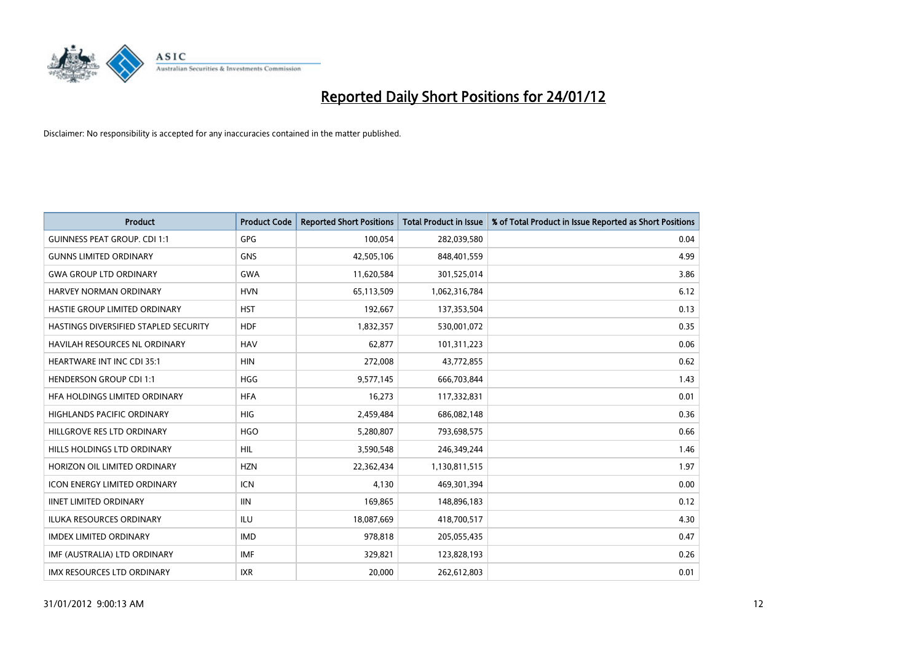

| <b>Product</b>                        | <b>Product Code</b> | <b>Reported Short Positions</b> | <b>Total Product in Issue</b> | % of Total Product in Issue Reported as Short Positions |
|---------------------------------------|---------------------|---------------------------------|-------------------------------|---------------------------------------------------------|
| <b>GUINNESS PEAT GROUP. CDI 1:1</b>   | <b>GPG</b>          | 100,054                         | 282,039,580                   | 0.04                                                    |
| <b>GUNNS LIMITED ORDINARY</b>         | <b>GNS</b>          | 42,505,106                      | 848,401,559                   | 4.99                                                    |
| <b>GWA GROUP LTD ORDINARY</b>         | <b>GWA</b>          | 11,620,584                      | 301,525,014                   | 3.86                                                    |
| HARVEY NORMAN ORDINARY                | <b>HVN</b>          | 65,113,509                      | 1,062,316,784                 | 6.12                                                    |
| HASTIE GROUP LIMITED ORDINARY         | <b>HST</b>          | 192,667                         | 137,353,504                   | 0.13                                                    |
| HASTINGS DIVERSIFIED STAPLED SECURITY | <b>HDF</b>          | 1,832,357                       | 530,001,072                   | 0.35                                                    |
| HAVILAH RESOURCES NL ORDINARY         | <b>HAV</b>          | 62,877                          | 101,311,223                   | 0.06                                                    |
| HEARTWARE INT INC CDI 35:1            | <b>HIN</b>          | 272,008                         | 43,772,855                    | 0.62                                                    |
| <b>HENDERSON GROUP CDI 1:1</b>        | <b>HGG</b>          | 9,577,145                       | 666,703,844                   | 1.43                                                    |
| HFA HOLDINGS LIMITED ORDINARY         | <b>HFA</b>          | 16,273                          | 117,332,831                   | 0.01                                                    |
| HIGHLANDS PACIFIC ORDINARY            | <b>HIG</b>          | 2,459,484                       | 686,082,148                   | 0.36                                                    |
| HILLGROVE RES LTD ORDINARY            | <b>HGO</b>          | 5,280,807                       | 793,698,575                   | 0.66                                                    |
| HILLS HOLDINGS LTD ORDINARY           | <b>HIL</b>          | 3,590,548                       | 246,349,244                   | 1.46                                                    |
| HORIZON OIL LIMITED ORDINARY          | <b>HZN</b>          | 22,362,434                      | 1,130,811,515                 | 1.97                                                    |
| <b>ICON ENERGY LIMITED ORDINARY</b>   | <b>ICN</b>          | 4,130                           | 469,301,394                   | 0.00                                                    |
| <b>IINET LIMITED ORDINARY</b>         | <b>IIN</b>          | 169,865                         | 148,896,183                   | 0.12                                                    |
| ILUKA RESOURCES ORDINARY              | ILU                 | 18,087,669                      | 418,700,517                   | 4.30                                                    |
| IMDEX LIMITED ORDINARY                | <b>IMD</b>          | 978,818                         | 205,055,435                   | 0.47                                                    |
| IMF (AUSTRALIA) LTD ORDINARY          | <b>IMF</b>          | 329,821                         | 123,828,193                   | 0.26                                                    |
| IMX RESOURCES LTD ORDINARY            | <b>IXR</b>          | 20,000                          | 262,612,803                   | 0.01                                                    |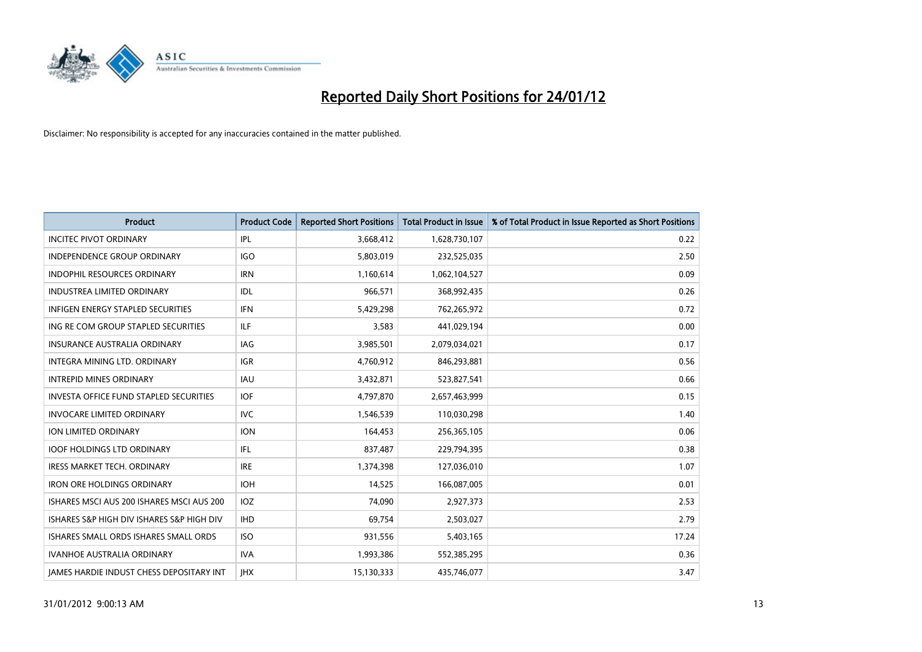

| <b>Product</b>                                  | <b>Product Code</b> | <b>Reported Short Positions</b> | <b>Total Product in Issue</b> | % of Total Product in Issue Reported as Short Positions |
|-------------------------------------------------|---------------------|---------------------------------|-------------------------------|---------------------------------------------------------|
| <b>INCITEC PIVOT ORDINARY</b>                   | IPL                 | 3,668,412                       | 1,628,730,107                 | 0.22                                                    |
| INDEPENDENCE GROUP ORDINARY                     | <b>IGO</b>          | 5,803,019                       | 232,525,035                   | 2.50                                                    |
| <b>INDOPHIL RESOURCES ORDINARY</b>              | <b>IRN</b>          | 1,160,614                       | 1,062,104,527                 | 0.09                                                    |
| INDUSTREA LIMITED ORDINARY                      | IDL                 | 966,571                         | 368,992,435                   | 0.26                                                    |
| <b>INFIGEN ENERGY STAPLED SECURITIES</b>        | <b>IFN</b>          | 5,429,298                       | 762,265,972                   | 0.72                                                    |
| ING RE COM GROUP STAPLED SECURITIES             | <b>ILF</b>          | 3,583                           | 441,029,194                   | 0.00                                                    |
| INSURANCE AUSTRALIA ORDINARY                    | IAG                 | 3,985,501                       | 2,079,034,021                 | 0.17                                                    |
| INTEGRA MINING LTD. ORDINARY                    | <b>IGR</b>          | 4,760,912                       | 846,293,881                   | 0.56                                                    |
| <b>INTREPID MINES ORDINARY</b>                  | <b>IAU</b>          | 3,432,871                       | 523,827,541                   | 0.66                                                    |
| <b>INVESTA OFFICE FUND STAPLED SECURITIES</b>   | <b>IOF</b>          | 4,797,870                       | 2,657,463,999                 | 0.15                                                    |
| <b>INVOCARE LIMITED ORDINARY</b>                | IVC                 | 1,546,539                       | 110,030,298                   | 1.40                                                    |
| ION LIMITED ORDINARY                            | <b>ION</b>          | 164,453                         | 256,365,105                   | 0.06                                                    |
| <b>IOOF HOLDINGS LTD ORDINARY</b>               | <b>IFL</b>          | 837,487                         | 229,794,395                   | 0.38                                                    |
| <b>IRESS MARKET TECH. ORDINARY</b>              | <b>IRE</b>          | 1,374,398                       | 127,036,010                   | 1.07                                                    |
| <b>IRON ORE HOLDINGS ORDINARY</b>               | <b>IOH</b>          | 14,525                          | 166,087,005                   | 0.01                                                    |
| ISHARES MSCI AUS 200 ISHARES MSCI AUS 200       | <b>IOZ</b>          | 74,090                          | 2,927,373                     | 2.53                                                    |
| ISHARES S&P HIGH DIV ISHARES S&P HIGH DIV       | <b>IHD</b>          | 69,754                          | 2,503,027                     | 2.79                                                    |
| ISHARES SMALL ORDS ISHARES SMALL ORDS           | <b>ISO</b>          | 931,556                         | 5,403,165                     | 17.24                                                   |
| <b>IVANHOE AUSTRALIA ORDINARY</b>               | <b>IVA</b>          | 1,993,386                       | 552,385,295                   | 0.36                                                    |
| <b>IAMES HARDIE INDUST CHESS DEPOSITARY INT</b> | <b>IHX</b>          | 15,130,333                      | 435,746,077                   | 3.47                                                    |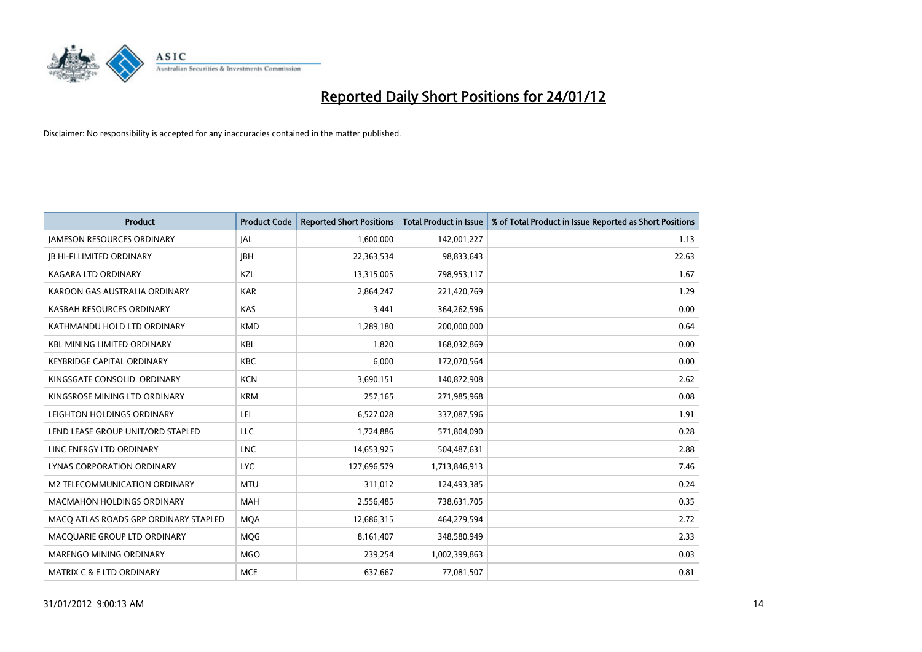

| <b>Product</b>                        | <b>Product Code</b> | <b>Reported Short Positions</b> | <b>Total Product in Issue</b> | % of Total Product in Issue Reported as Short Positions |
|---------------------------------------|---------------------|---------------------------------|-------------------------------|---------------------------------------------------------|
| <b>JAMESON RESOURCES ORDINARY</b>     | <b>JAL</b>          | 1,600,000                       | 142,001,227                   | 1.13                                                    |
| <b>IB HI-FI LIMITED ORDINARY</b>      | <b>IBH</b>          | 22,363,534                      | 98,833,643                    | 22.63                                                   |
| <b>KAGARA LTD ORDINARY</b>            | <b>KZL</b>          | 13,315,005                      | 798,953,117                   | 1.67                                                    |
| KAROON GAS AUSTRALIA ORDINARY         | <b>KAR</b>          | 2,864,247                       | 221,420,769                   | 1.29                                                    |
| KASBAH RESOURCES ORDINARY             | <b>KAS</b>          | 3,441                           | 364,262,596                   | 0.00                                                    |
| KATHMANDU HOLD LTD ORDINARY           | <b>KMD</b>          | 1,289,180                       | 200,000,000                   | 0.64                                                    |
| <b>KBL MINING LIMITED ORDINARY</b>    | <b>KBL</b>          | 1,820                           | 168,032,869                   | 0.00                                                    |
| <b>KEYBRIDGE CAPITAL ORDINARY</b>     | <b>KBC</b>          | 6,000                           | 172,070,564                   | 0.00                                                    |
| KINGSGATE CONSOLID. ORDINARY          | <b>KCN</b>          | 3,690,151                       | 140,872,908                   | 2.62                                                    |
| KINGSROSE MINING LTD ORDINARY         | <b>KRM</b>          | 257,165                         | 271,985,968                   | 0.08                                                    |
| LEIGHTON HOLDINGS ORDINARY            | LEI                 | 6,527,028                       | 337,087,596                   | 1.91                                                    |
| LEND LEASE GROUP UNIT/ORD STAPLED     | LLC                 | 1,724,886                       | 571,804,090                   | 0.28                                                    |
| LINC ENERGY LTD ORDINARY              | <b>LNC</b>          | 14,653,925                      | 504,487,631                   | 2.88                                                    |
| <b>LYNAS CORPORATION ORDINARY</b>     | <b>LYC</b>          | 127,696,579                     | 1,713,846,913                 | 7.46                                                    |
| M2 TELECOMMUNICATION ORDINARY         | <b>MTU</b>          | 311,012                         | 124,493,385                   | 0.24                                                    |
| <b>MACMAHON HOLDINGS ORDINARY</b>     | <b>MAH</b>          | 2,556,485                       | 738,631,705                   | 0.35                                                    |
| MACQ ATLAS ROADS GRP ORDINARY STAPLED | <b>MQA</b>          | 12,686,315                      | 464,279,594                   | 2.72                                                    |
| MACQUARIE GROUP LTD ORDINARY          | <b>MOG</b>          | 8,161,407                       | 348,580,949                   | 2.33                                                    |
| MARENGO MINING ORDINARY               | <b>MGO</b>          | 239,254                         | 1,002,399,863                 | 0.03                                                    |
| MATRIX C & E LTD ORDINARY             | <b>MCE</b>          | 637,667                         | 77,081,507                    | 0.81                                                    |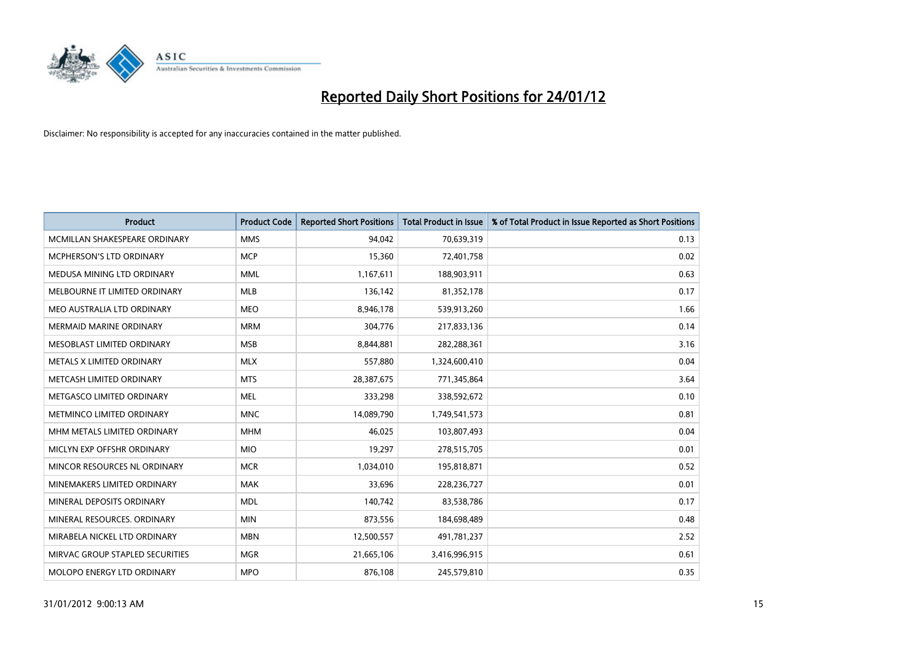

| <b>Product</b>                  | <b>Product Code</b> | <b>Reported Short Positions</b> | <b>Total Product in Issue</b> | % of Total Product in Issue Reported as Short Positions |
|---------------------------------|---------------------|---------------------------------|-------------------------------|---------------------------------------------------------|
| MCMILLAN SHAKESPEARE ORDINARY   | <b>MMS</b>          | 94.042                          | 70,639,319                    | 0.13                                                    |
| MCPHERSON'S LTD ORDINARY        | <b>MCP</b>          | 15,360                          | 72,401,758                    | 0.02                                                    |
| MEDUSA MINING LTD ORDINARY      | <b>MML</b>          | 1,167,611                       | 188,903,911                   | 0.63                                                    |
| MELBOURNE IT LIMITED ORDINARY   | <b>MLB</b>          | 136,142                         | 81,352,178                    | 0.17                                                    |
| MEO AUSTRALIA LTD ORDINARY      | <b>MEO</b>          | 8,946,178                       | 539,913,260                   | 1.66                                                    |
| <b>MERMAID MARINE ORDINARY</b>  | <b>MRM</b>          | 304,776                         | 217,833,136                   | 0.14                                                    |
| MESOBLAST LIMITED ORDINARY      | <b>MSB</b>          | 8,844,881                       | 282,288,361                   | 3.16                                                    |
| METALS X LIMITED ORDINARY       | <b>MLX</b>          | 557,880                         | 1,324,600,410                 | 0.04                                                    |
| METCASH LIMITED ORDINARY        | <b>MTS</b>          | 28,387,675                      | 771,345,864                   | 3.64                                                    |
| METGASCO LIMITED ORDINARY       | <b>MEL</b>          | 333,298                         | 338,592,672                   | 0.10                                                    |
| METMINCO LIMITED ORDINARY       | <b>MNC</b>          | 14,089,790                      | 1,749,541,573                 | 0.81                                                    |
| MHM METALS LIMITED ORDINARY     | <b>MHM</b>          | 46,025                          | 103,807,493                   | 0.04                                                    |
| MICLYN EXP OFFSHR ORDINARY      | <b>MIO</b>          | 19,297                          | 278,515,705                   | 0.01                                                    |
| MINCOR RESOURCES NL ORDINARY    | <b>MCR</b>          | 1,034,010                       | 195,818,871                   | 0.52                                                    |
| MINEMAKERS LIMITED ORDINARY     | <b>MAK</b>          | 33.696                          | 228,236,727                   | 0.01                                                    |
| MINERAL DEPOSITS ORDINARY       | <b>MDL</b>          | 140,742                         | 83,538,786                    | 0.17                                                    |
| MINERAL RESOURCES. ORDINARY     | <b>MIN</b>          | 873,556                         | 184,698,489                   | 0.48                                                    |
| MIRABELA NICKEL LTD ORDINARY    | <b>MBN</b>          | 12,500,557                      | 491,781,237                   | 2.52                                                    |
| MIRVAC GROUP STAPLED SECURITIES | <b>MGR</b>          | 21,665,106                      | 3,416,996,915                 | 0.61                                                    |
| MOLOPO ENERGY LTD ORDINARY      | <b>MPO</b>          | 876,108                         | 245,579,810                   | 0.35                                                    |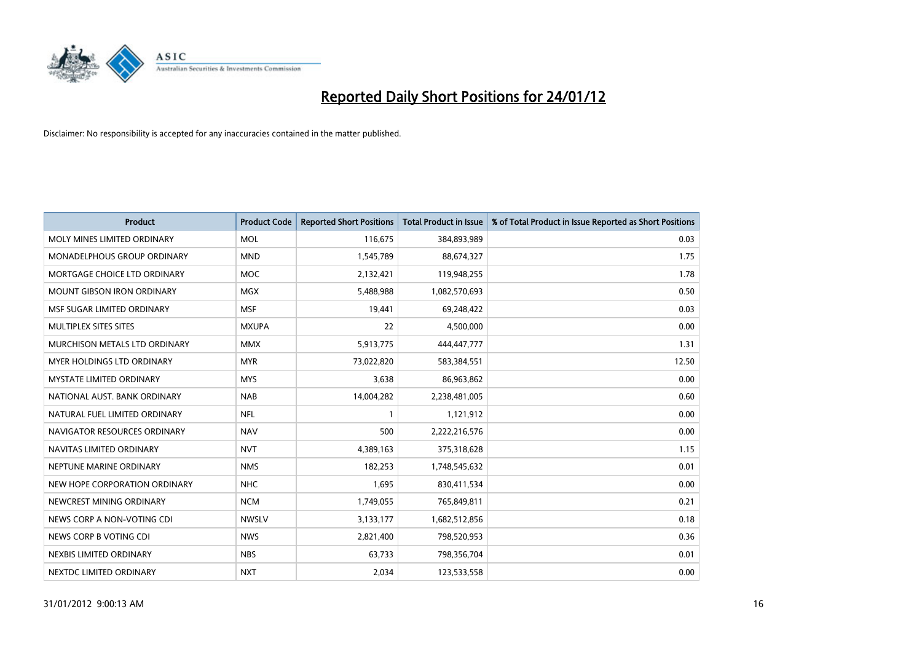

| <b>Product</b>                       | <b>Product Code</b> | <b>Reported Short Positions</b> | <b>Total Product in Issue</b> | % of Total Product in Issue Reported as Short Positions |
|--------------------------------------|---------------------|---------------------------------|-------------------------------|---------------------------------------------------------|
| MOLY MINES LIMITED ORDINARY          | <b>MOL</b>          | 116,675                         | 384,893,989                   | 0.03                                                    |
| MONADELPHOUS GROUP ORDINARY          | <b>MND</b>          | 1,545,789                       | 88,674,327                    | 1.75                                                    |
| MORTGAGE CHOICE LTD ORDINARY         | <b>MOC</b>          | 2,132,421                       | 119,948,255                   | 1.78                                                    |
| <b>MOUNT GIBSON IRON ORDINARY</b>    | <b>MGX</b>          | 5,488,988                       | 1,082,570,693                 | 0.50                                                    |
| MSF SUGAR LIMITED ORDINARY           | <b>MSF</b>          | 19,441                          | 69,248,422                    | 0.03                                                    |
| <b>MULTIPLEX SITES SITES</b>         | <b>MXUPA</b>        | 22                              | 4,500,000                     | 0.00                                                    |
| <b>MURCHISON METALS LTD ORDINARY</b> | <b>MMX</b>          | 5,913,775                       | 444,447,777                   | 1.31                                                    |
| <b>MYER HOLDINGS LTD ORDINARY</b>    | <b>MYR</b>          | 73,022,820                      | 583,384,551                   | 12.50                                                   |
| <b>MYSTATE LIMITED ORDINARY</b>      | <b>MYS</b>          | 3,638                           | 86,963,862                    | 0.00                                                    |
| NATIONAL AUST, BANK ORDINARY         | <b>NAB</b>          | 14,004,282                      | 2,238,481,005                 | 0.60                                                    |
| NATURAL FUEL LIMITED ORDINARY        | <b>NFL</b>          |                                 | 1,121,912                     | 0.00                                                    |
| NAVIGATOR RESOURCES ORDINARY         | <b>NAV</b>          | 500                             | 2,222,216,576                 | 0.00                                                    |
| NAVITAS LIMITED ORDINARY             | <b>NVT</b>          | 4,389,163                       | 375,318,628                   | 1.15                                                    |
| NEPTUNE MARINE ORDINARY              | <b>NMS</b>          | 182,253                         | 1,748,545,632                 | 0.01                                                    |
| NEW HOPE CORPORATION ORDINARY        | <b>NHC</b>          | 1,695                           | 830,411,534                   | 0.00                                                    |
| NEWCREST MINING ORDINARY             | <b>NCM</b>          | 1,749,055                       | 765,849,811                   | 0.21                                                    |
| NEWS CORP A NON-VOTING CDI           | <b>NWSLV</b>        | 3,133,177                       | 1,682,512,856                 | 0.18                                                    |
| NEWS CORP B VOTING CDI               | <b>NWS</b>          | 2,821,400                       | 798,520,953                   | 0.36                                                    |
| NEXBIS LIMITED ORDINARY              | <b>NBS</b>          | 63,733                          | 798,356,704                   | 0.01                                                    |
| NEXTDC LIMITED ORDINARY              | <b>NXT</b>          | 2,034                           | 123,533,558                   | 0.00                                                    |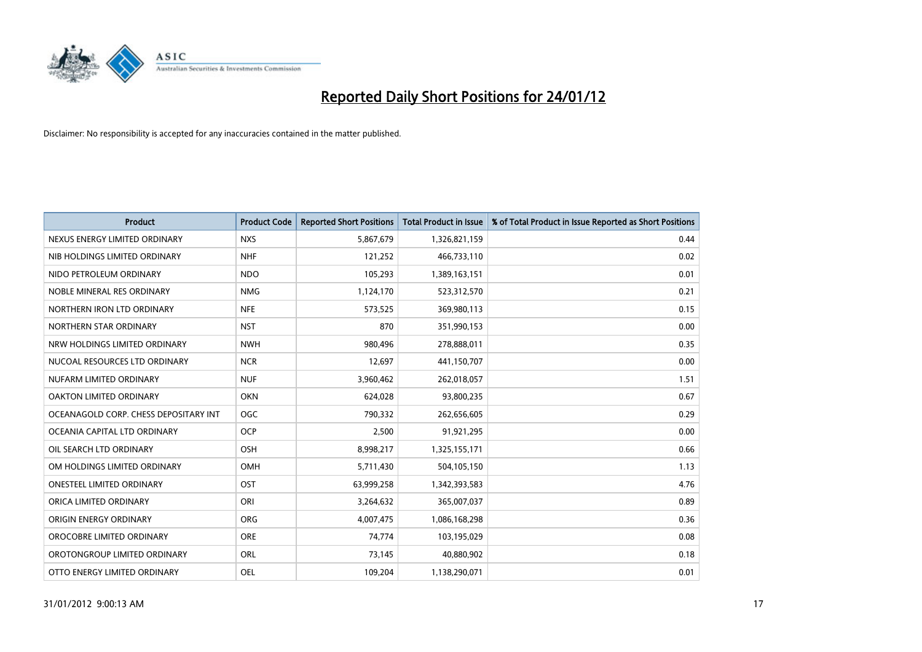

| <b>Product</b>                        | <b>Product Code</b> | <b>Reported Short Positions</b> | <b>Total Product in Issue</b> | % of Total Product in Issue Reported as Short Positions |
|---------------------------------------|---------------------|---------------------------------|-------------------------------|---------------------------------------------------------|
| NEXUS ENERGY LIMITED ORDINARY         | <b>NXS</b>          | 5,867,679                       | 1,326,821,159                 | 0.44                                                    |
| NIB HOLDINGS LIMITED ORDINARY         | <b>NHF</b>          | 121,252                         | 466,733,110                   | 0.02                                                    |
| NIDO PETROLEUM ORDINARY               | <b>NDO</b>          | 105,293                         | 1,389,163,151                 | 0.01                                                    |
| NOBLE MINERAL RES ORDINARY            | <b>NMG</b>          | 1,124,170                       | 523,312,570                   | 0.21                                                    |
| NORTHERN IRON LTD ORDINARY            | <b>NFE</b>          | 573,525                         | 369,980,113                   | 0.15                                                    |
| NORTHERN STAR ORDINARY                | <b>NST</b>          | 870                             | 351,990,153                   | 0.00                                                    |
| NRW HOLDINGS LIMITED ORDINARY         | <b>NWH</b>          | 980,496                         | 278,888,011                   | 0.35                                                    |
| NUCOAL RESOURCES LTD ORDINARY         | <b>NCR</b>          | 12,697                          | 441,150,707                   | 0.00                                                    |
| NUFARM LIMITED ORDINARY               | <b>NUF</b>          | 3,960,462                       | 262,018,057                   | 1.51                                                    |
| OAKTON LIMITED ORDINARY               | <b>OKN</b>          | 624,028                         | 93,800,235                    | 0.67                                                    |
| OCEANAGOLD CORP. CHESS DEPOSITARY INT | <b>OGC</b>          | 790,332                         | 262,656,605                   | 0.29                                                    |
| OCEANIA CAPITAL LTD ORDINARY          | <b>OCP</b>          | 2,500                           | 91,921,295                    | 0.00                                                    |
| OIL SEARCH LTD ORDINARY               | OSH                 | 8,998,217                       | 1,325,155,171                 | 0.66                                                    |
| OM HOLDINGS LIMITED ORDINARY          | <b>OMH</b>          | 5,711,430                       | 504,105,150                   | 1.13                                                    |
| <b>ONESTEEL LIMITED ORDINARY</b>      | OST                 | 63,999,258                      | 1,342,393,583                 | 4.76                                                    |
| ORICA LIMITED ORDINARY                | ORI                 | 3,264,632                       | 365,007,037                   | 0.89                                                    |
| ORIGIN ENERGY ORDINARY                | ORG                 | 4,007,475                       | 1,086,168,298                 | 0.36                                                    |
| OROCOBRE LIMITED ORDINARY             | <b>ORE</b>          | 74,774                          | 103,195,029                   | 0.08                                                    |
| OROTONGROUP LIMITED ORDINARY          | <b>ORL</b>          | 73,145                          | 40,880,902                    | 0.18                                                    |
| OTTO ENERGY LIMITED ORDINARY          | OEL                 | 109,204                         | 1,138,290,071                 | 0.01                                                    |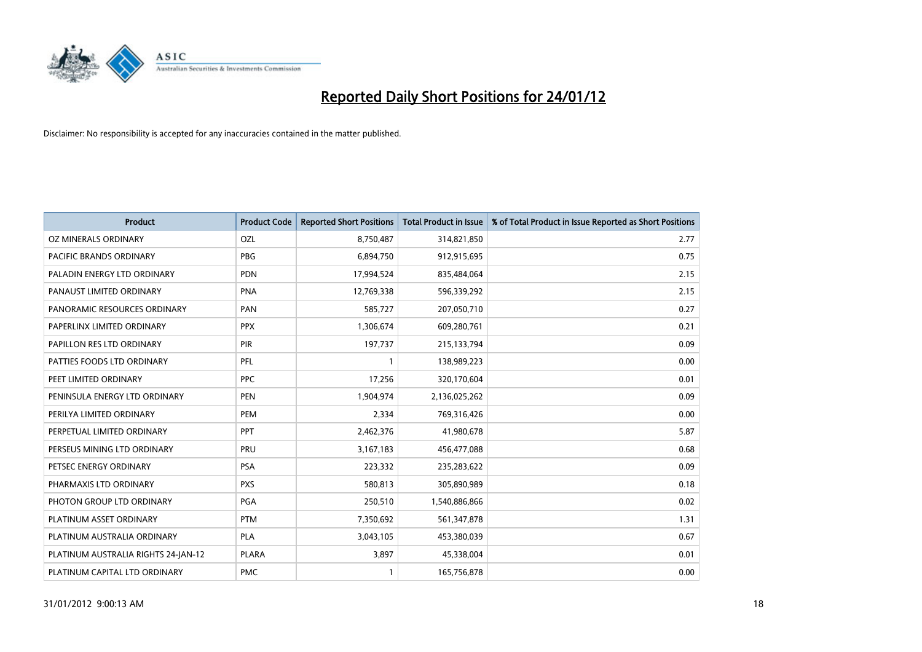

| <b>Product</b>                      | <b>Product Code</b> | <b>Reported Short Positions</b> | <b>Total Product in Issue</b> | % of Total Product in Issue Reported as Short Positions |
|-------------------------------------|---------------------|---------------------------------|-------------------------------|---------------------------------------------------------|
| OZ MINERALS ORDINARY                | OZL                 | 8,750,487                       | 314,821,850                   | 2.77                                                    |
| PACIFIC BRANDS ORDINARY             | <b>PBG</b>          | 6,894,750                       | 912,915,695                   | 0.75                                                    |
| PALADIN ENERGY LTD ORDINARY         | <b>PDN</b>          | 17,994,524                      | 835,484,064                   | 2.15                                                    |
| PANAUST LIMITED ORDINARY            | <b>PNA</b>          | 12,769,338                      | 596,339,292                   | 2.15                                                    |
| PANORAMIC RESOURCES ORDINARY        | PAN                 | 585,727                         | 207,050,710                   | 0.27                                                    |
| PAPERLINX LIMITED ORDINARY          | <b>PPX</b>          | 1,306,674                       | 609,280,761                   | 0.21                                                    |
| PAPILLON RES LTD ORDINARY           | <b>PIR</b>          | 197,737                         | 215,133,794                   | 0.09                                                    |
| PATTIES FOODS LTD ORDINARY          | PFL                 |                                 | 138,989,223                   | 0.00                                                    |
| PEET LIMITED ORDINARY               | <b>PPC</b>          | 17,256                          | 320,170,604                   | 0.01                                                    |
| PENINSULA ENERGY LTD ORDINARY       | <b>PEN</b>          | 1,904,974                       | 2,136,025,262                 | 0.09                                                    |
| PERILYA LIMITED ORDINARY            | PEM                 | 2,334                           | 769,316,426                   | 0.00                                                    |
| PERPETUAL LIMITED ORDINARY          | PPT                 | 2,462,376                       | 41,980,678                    | 5.87                                                    |
| PERSEUS MINING LTD ORDINARY         | PRU                 | 3,167,183                       | 456,477,088                   | 0.68                                                    |
| PETSEC ENERGY ORDINARY              | <b>PSA</b>          | 223,332                         | 235,283,622                   | 0.09                                                    |
| PHARMAXIS LTD ORDINARY              | <b>PXS</b>          | 580,813                         | 305,890,989                   | 0.18                                                    |
| PHOTON GROUP LTD ORDINARY           | PGA                 | 250,510                         | 1,540,886,866                 | 0.02                                                    |
| PLATINUM ASSET ORDINARY             | <b>PTM</b>          | 7,350,692                       | 561,347,878                   | 1.31                                                    |
| PLATINUM AUSTRALIA ORDINARY         | <b>PLA</b>          | 3,043,105                       | 453,380,039                   | 0.67                                                    |
| PLATINUM AUSTRALIA RIGHTS 24-JAN-12 | <b>PLARA</b>        | 3,897                           | 45,338,004                    | 0.01                                                    |
| PLATINUM CAPITAL LTD ORDINARY       | <b>PMC</b>          |                                 | 165,756,878                   | 0.00                                                    |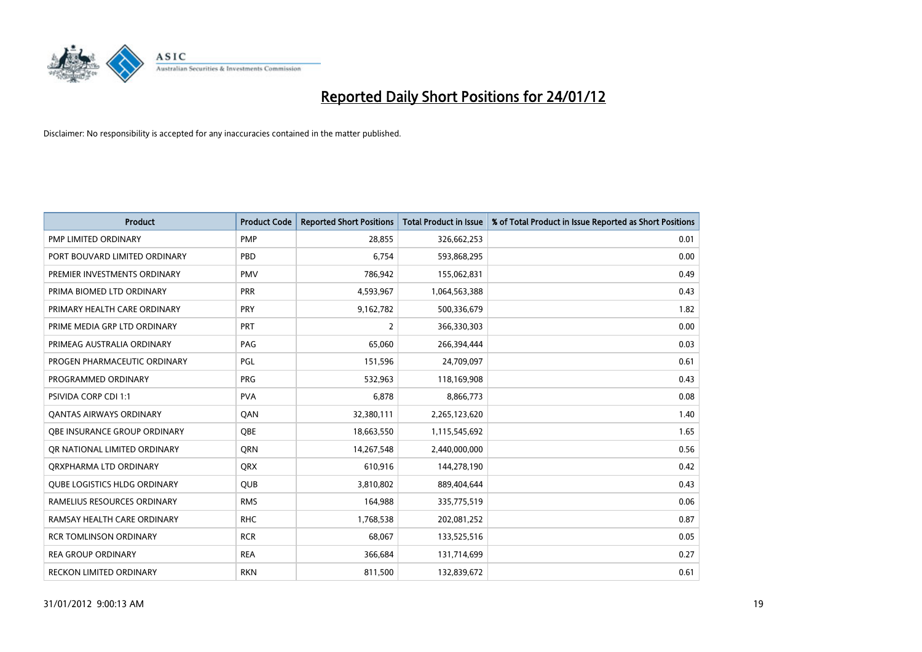

| <b>Product</b>                      | <b>Product Code</b> | <b>Reported Short Positions</b> | <b>Total Product in Issue</b> | % of Total Product in Issue Reported as Short Positions |
|-------------------------------------|---------------------|---------------------------------|-------------------------------|---------------------------------------------------------|
| PMP LIMITED ORDINARY                | <b>PMP</b>          | 28,855                          | 326,662,253                   | 0.01                                                    |
| PORT BOUVARD LIMITED ORDINARY       | PBD                 | 6,754                           | 593,868,295                   | 0.00                                                    |
| PREMIER INVESTMENTS ORDINARY        | <b>PMV</b>          | 786,942                         | 155,062,831                   | 0.49                                                    |
| PRIMA BIOMED LTD ORDINARY           | <b>PRR</b>          | 4,593,967                       | 1,064,563,388                 | 0.43                                                    |
| PRIMARY HEALTH CARE ORDINARY        | <b>PRY</b>          | 9,162,782                       | 500,336,679                   | 1.82                                                    |
| PRIME MEDIA GRP LTD ORDINARY        | PRT                 | 2                               | 366,330,303                   | 0.00                                                    |
| PRIMEAG AUSTRALIA ORDINARY          | PAG                 | 65,060                          | 266,394,444                   | 0.03                                                    |
| PROGEN PHARMACEUTIC ORDINARY        | PGL                 | 151,596                         | 24,709,097                    | 0.61                                                    |
| PROGRAMMED ORDINARY                 | <b>PRG</b>          | 532,963                         | 118,169,908                   | 0.43                                                    |
| <b>PSIVIDA CORP CDI 1:1</b>         | <b>PVA</b>          | 6,878                           | 8,866,773                     | 0.08                                                    |
| <b>QANTAS AIRWAYS ORDINARY</b>      | QAN                 | 32,380,111                      | 2,265,123,620                 | 1.40                                                    |
| OBE INSURANCE GROUP ORDINARY        | <b>OBE</b>          | 18,663,550                      | 1,115,545,692                 | 1.65                                                    |
| OR NATIONAL LIMITED ORDINARY        | <b>ORN</b>          | 14,267,548                      | 2,440,000,000                 | 0.56                                                    |
| ORXPHARMA LTD ORDINARY              | <b>QRX</b>          | 610,916                         | 144,278,190                   | 0.42                                                    |
| <b>OUBE LOGISTICS HLDG ORDINARY</b> | <b>QUB</b>          | 3,810,802                       | 889,404,644                   | 0.43                                                    |
| RAMELIUS RESOURCES ORDINARY         | <b>RMS</b>          | 164,988                         | 335,775,519                   | 0.06                                                    |
| RAMSAY HEALTH CARE ORDINARY         | <b>RHC</b>          | 1,768,538                       | 202,081,252                   | 0.87                                                    |
| <b>RCR TOMLINSON ORDINARY</b>       | <b>RCR</b>          | 68,067                          | 133,525,516                   | 0.05                                                    |
| <b>REA GROUP ORDINARY</b>           | <b>REA</b>          | 366,684                         | 131,714,699                   | 0.27                                                    |
| RECKON LIMITED ORDINARY             | <b>RKN</b>          | 811,500                         | 132,839,672                   | 0.61                                                    |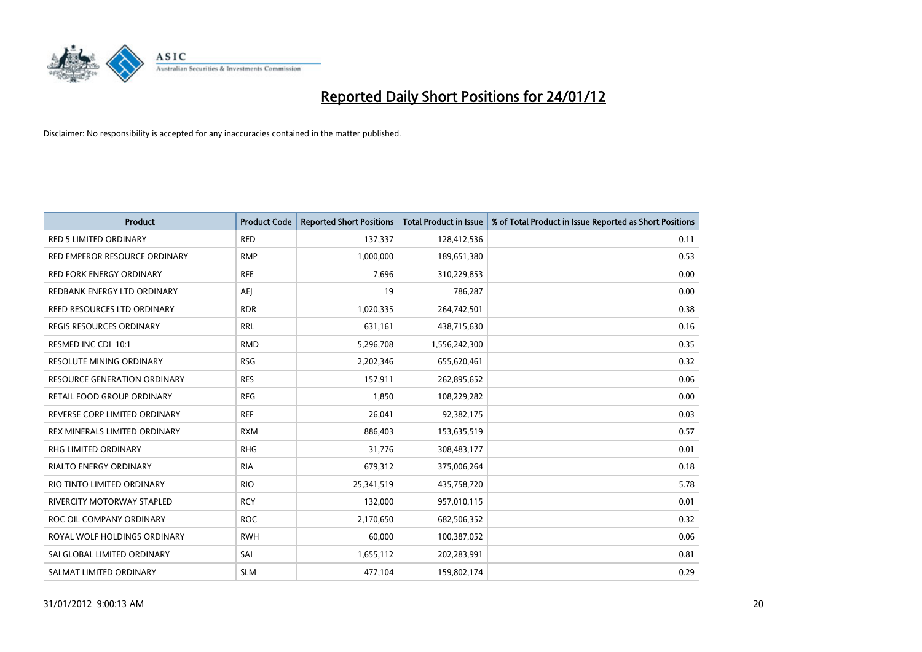

| <b>Product</b>                      | <b>Product Code</b> | <b>Reported Short Positions</b> | <b>Total Product in Issue</b> | % of Total Product in Issue Reported as Short Positions |
|-------------------------------------|---------------------|---------------------------------|-------------------------------|---------------------------------------------------------|
| <b>RED 5 LIMITED ORDINARY</b>       | <b>RED</b>          | 137,337                         | 128,412,536                   | 0.11                                                    |
| RED EMPEROR RESOURCE ORDINARY       | <b>RMP</b>          | 1,000,000                       | 189,651,380                   | 0.53                                                    |
| <b>RED FORK ENERGY ORDINARY</b>     | <b>RFE</b>          | 7,696                           | 310,229,853                   | 0.00                                                    |
| REDBANK ENERGY LTD ORDINARY         | AEJ                 | 19                              | 786,287                       | 0.00                                                    |
| REED RESOURCES LTD ORDINARY         | <b>RDR</b>          | 1,020,335                       | 264,742,501                   | 0.38                                                    |
| REGIS RESOURCES ORDINARY            | <b>RRL</b>          | 631,161                         | 438,715,630                   | 0.16                                                    |
| RESMED INC CDI 10:1                 | <b>RMD</b>          | 5,296,708                       | 1,556,242,300                 | 0.35                                                    |
| RESOLUTE MINING ORDINARY            | <b>RSG</b>          | 2,202,346                       | 655,620,461                   | 0.32                                                    |
| <b>RESOURCE GENERATION ORDINARY</b> | <b>RES</b>          | 157,911                         | 262,895,652                   | 0.06                                                    |
| RETAIL FOOD GROUP ORDINARY          | <b>RFG</b>          | 1,850                           | 108,229,282                   | 0.00                                                    |
| REVERSE CORP LIMITED ORDINARY       | <b>REF</b>          | 26,041                          | 92,382,175                    | 0.03                                                    |
| REX MINERALS LIMITED ORDINARY       | <b>RXM</b>          | 886,403                         | 153,635,519                   | 0.57                                                    |
| RHG LIMITED ORDINARY                | <b>RHG</b>          | 31,776                          | 308,483,177                   | 0.01                                                    |
| <b>RIALTO ENERGY ORDINARY</b>       | <b>RIA</b>          | 679,312                         | 375,006,264                   | 0.18                                                    |
| RIO TINTO LIMITED ORDINARY          | <b>RIO</b>          | 25,341,519                      | 435,758,720                   | 5.78                                                    |
| RIVERCITY MOTORWAY STAPLED          | <b>RCY</b>          | 132,000                         | 957,010,115                   | 0.01                                                    |
| ROC OIL COMPANY ORDINARY            | <b>ROC</b>          | 2,170,650                       | 682,506,352                   | 0.32                                                    |
| ROYAL WOLF HOLDINGS ORDINARY        | <b>RWH</b>          | 60,000                          | 100,387,052                   | 0.06                                                    |
| SAI GLOBAL LIMITED ORDINARY         | SAI                 | 1,655,112                       | 202,283,991                   | 0.81                                                    |
| SALMAT LIMITED ORDINARY             | <b>SLM</b>          | 477,104                         | 159,802,174                   | 0.29                                                    |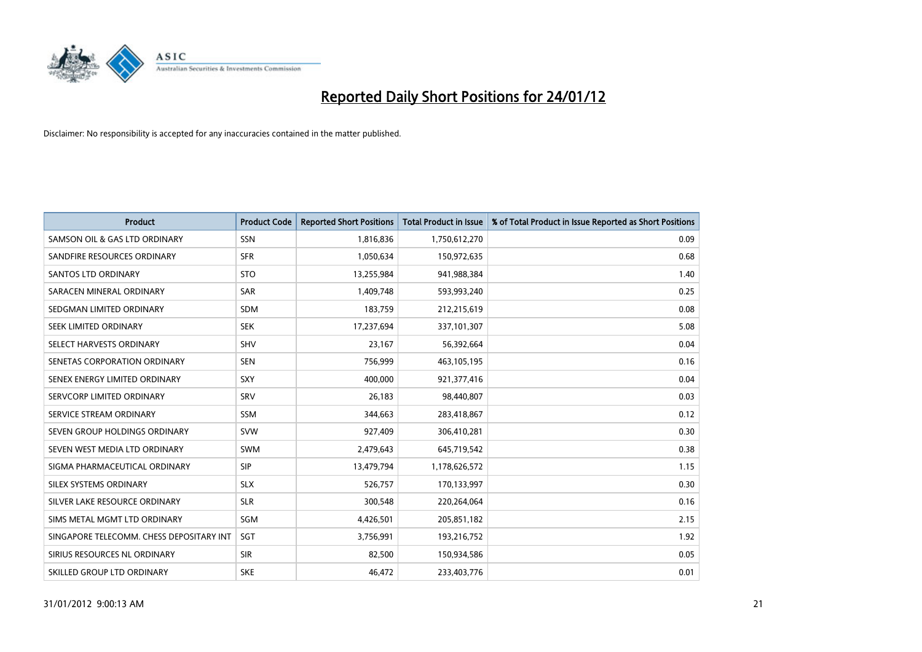

| <b>Product</b>                           | <b>Product Code</b> | <b>Reported Short Positions</b> | <b>Total Product in Issue</b> | % of Total Product in Issue Reported as Short Positions |
|------------------------------------------|---------------------|---------------------------------|-------------------------------|---------------------------------------------------------|
| SAMSON OIL & GAS LTD ORDINARY            | SSN                 | 1,816,836                       | 1,750,612,270                 | 0.09                                                    |
| SANDFIRE RESOURCES ORDINARY              | <b>SFR</b>          | 1,050,634                       | 150,972,635                   | 0.68                                                    |
| <b>SANTOS LTD ORDINARY</b>               | <b>STO</b>          | 13,255,984                      | 941,988,384                   | 1.40                                                    |
| SARACEN MINERAL ORDINARY                 | <b>SAR</b>          | 1,409,748                       | 593,993,240                   | 0.25                                                    |
| SEDGMAN LIMITED ORDINARY                 | <b>SDM</b>          | 183,759                         | 212,215,619                   | 0.08                                                    |
| <b>SEEK LIMITED ORDINARY</b>             | <b>SEK</b>          | 17,237,694                      | 337,101,307                   | 5.08                                                    |
| SELECT HARVESTS ORDINARY                 | <b>SHV</b>          | 23,167                          | 56,392,664                    | 0.04                                                    |
| SENETAS CORPORATION ORDINARY             | <b>SEN</b>          | 756,999                         | 463,105,195                   | 0.16                                                    |
| SENEX ENERGY LIMITED ORDINARY            | <b>SXY</b>          | 400.000                         | 921,377,416                   | 0.04                                                    |
| SERVCORP LIMITED ORDINARY                | SRV                 | 26,183                          | 98,440,807                    | 0.03                                                    |
| SERVICE STREAM ORDINARY                  | <b>SSM</b>          | 344,663                         | 283,418,867                   | 0.12                                                    |
| SEVEN GROUP HOLDINGS ORDINARY            | <b>SVW</b>          | 927,409                         | 306,410,281                   | 0.30                                                    |
| SEVEN WEST MEDIA LTD ORDINARY            | <b>SWM</b>          | 2,479,643                       | 645,719,542                   | 0.38                                                    |
| SIGMA PHARMACEUTICAL ORDINARY            | <b>SIP</b>          | 13,479,794                      | 1,178,626,572                 | 1.15                                                    |
| SILEX SYSTEMS ORDINARY                   | <b>SLX</b>          | 526,757                         | 170,133,997                   | 0.30                                                    |
| SILVER LAKE RESOURCE ORDINARY            | <b>SLR</b>          | 300,548                         | 220,264,064                   | 0.16                                                    |
| SIMS METAL MGMT LTD ORDINARY             | SGM                 | 4,426,501                       | 205,851,182                   | 2.15                                                    |
| SINGAPORE TELECOMM. CHESS DEPOSITARY INT | <b>SGT</b>          | 3,756,991                       | 193,216,752                   | 1.92                                                    |
| SIRIUS RESOURCES NL ORDINARY             | <b>SIR</b>          | 82,500                          | 150,934,586                   | 0.05                                                    |
| SKILLED GROUP LTD ORDINARY               | <b>SKE</b>          | 46,472                          | 233,403,776                   | 0.01                                                    |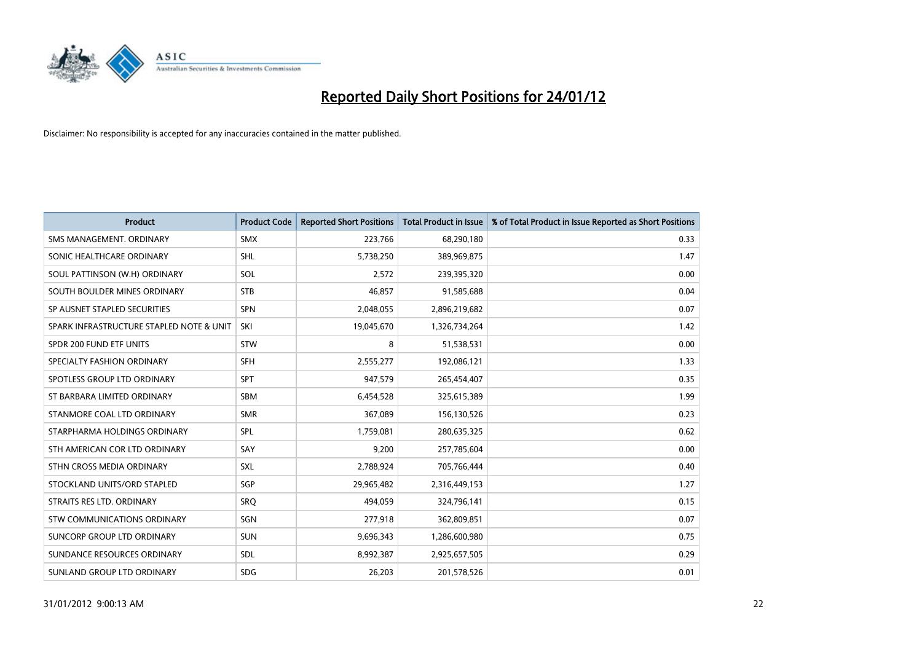

| <b>Product</b>                           | <b>Product Code</b> | <b>Reported Short Positions</b> | <b>Total Product in Issue</b> | % of Total Product in Issue Reported as Short Positions |
|------------------------------------------|---------------------|---------------------------------|-------------------------------|---------------------------------------------------------|
| SMS MANAGEMENT, ORDINARY                 | <b>SMX</b>          | 223,766                         | 68,290,180                    | 0.33                                                    |
| SONIC HEALTHCARE ORDINARY                | <b>SHL</b>          | 5,738,250                       | 389,969,875                   | 1.47                                                    |
| SOUL PATTINSON (W.H) ORDINARY            | SOL                 | 2,572                           | 239,395,320                   | 0.00                                                    |
| SOUTH BOULDER MINES ORDINARY             | <b>STB</b>          | 46,857                          | 91,585,688                    | 0.04                                                    |
| SP AUSNET STAPLED SECURITIES             | <b>SPN</b>          | 2,048,055                       | 2,896,219,682                 | 0.07                                                    |
| SPARK INFRASTRUCTURE STAPLED NOTE & UNIT | SKI                 | 19,045,670                      | 1,326,734,264                 | 1.42                                                    |
| SPDR 200 FUND ETF UNITS                  | <b>STW</b>          | 8                               | 51,538,531                    | 0.00                                                    |
| SPECIALTY FASHION ORDINARY               | <b>SFH</b>          | 2,555,277                       | 192,086,121                   | 1.33                                                    |
| SPOTLESS GROUP LTD ORDINARY              | <b>SPT</b>          | 947,579                         | 265,454,407                   | 0.35                                                    |
| ST BARBARA LIMITED ORDINARY              | <b>SBM</b>          | 6,454,528                       | 325,615,389                   | 1.99                                                    |
| STANMORE COAL LTD ORDINARY               | <b>SMR</b>          | 367,089                         | 156,130,526                   | 0.23                                                    |
| STARPHARMA HOLDINGS ORDINARY             | <b>SPL</b>          | 1,759,081                       | 280,635,325                   | 0.62                                                    |
| STH AMERICAN COR LTD ORDINARY            | SAY                 | 9,200                           | 257,785,604                   | 0.00                                                    |
| STHN CROSS MEDIA ORDINARY                | SXL                 | 2,788,924                       | 705,766,444                   | 0.40                                                    |
| STOCKLAND UNITS/ORD STAPLED              | SGP                 | 29,965,482                      | 2,316,449,153                 | 1.27                                                    |
| STRAITS RES LTD. ORDINARY                | SRO                 | 494,059                         | 324,796,141                   | 0.15                                                    |
| STW COMMUNICATIONS ORDINARY              | SGN                 | 277,918                         | 362,809,851                   | 0.07                                                    |
| SUNCORP GROUP LTD ORDINARY               | <b>SUN</b>          | 9,696,343                       | 1,286,600,980                 | 0.75                                                    |
| SUNDANCE RESOURCES ORDINARY              | <b>SDL</b>          | 8,992,387                       | 2,925,657,505                 | 0.29                                                    |
| SUNLAND GROUP LTD ORDINARY               | <b>SDG</b>          | 26,203                          | 201,578,526                   | 0.01                                                    |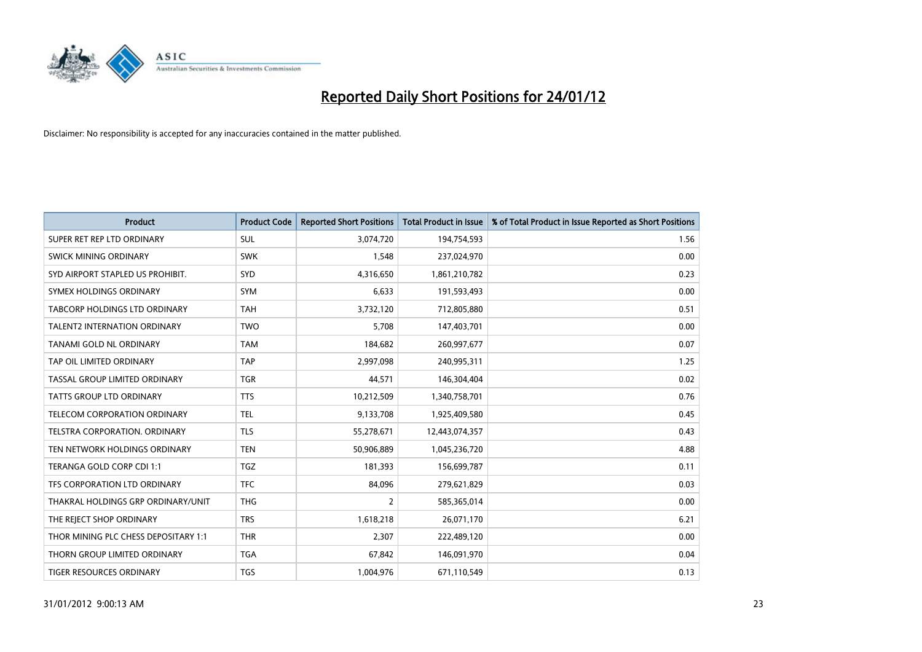

| <b>Product</b>                       | <b>Product Code</b> | <b>Reported Short Positions</b> | <b>Total Product in Issue</b> | % of Total Product in Issue Reported as Short Positions |
|--------------------------------------|---------------------|---------------------------------|-------------------------------|---------------------------------------------------------|
| SUPER RET REP LTD ORDINARY           | <b>SUL</b>          | 3,074,720                       | 194,754,593                   | 1.56                                                    |
| SWICK MINING ORDINARY                | <b>SWK</b>          | 1,548                           | 237,024,970                   | 0.00                                                    |
| SYD AIRPORT STAPLED US PROHIBIT.     | <b>SYD</b>          | 4,316,650                       | 1,861,210,782                 | 0.23                                                    |
| SYMEX HOLDINGS ORDINARY              | <b>SYM</b>          | 6,633                           | 191,593,493                   | 0.00                                                    |
| <b>TABCORP HOLDINGS LTD ORDINARY</b> | <b>TAH</b>          | 3,732,120                       | 712,805,880                   | 0.51                                                    |
| <b>TALENT2 INTERNATION ORDINARY</b>  | <b>TWO</b>          | 5,708                           | 147,403,701                   | 0.00                                                    |
| TANAMI GOLD NL ORDINARY              | <b>TAM</b>          | 184,682                         | 260,997,677                   | 0.07                                                    |
| TAP OIL LIMITED ORDINARY             | <b>TAP</b>          | 2,997,098                       | 240,995,311                   | 1.25                                                    |
| TASSAL GROUP LIMITED ORDINARY        | <b>TGR</b>          | 44,571                          | 146,304,404                   | 0.02                                                    |
| <b>TATTS GROUP LTD ORDINARY</b>      | <b>TTS</b>          | 10,212,509                      | 1,340,758,701                 | 0.76                                                    |
| TELECOM CORPORATION ORDINARY         | <b>TEL</b>          | 9,133,708                       | 1,925,409,580                 | 0.45                                                    |
| <b>TELSTRA CORPORATION, ORDINARY</b> | <b>TLS</b>          | 55,278,671                      | 12,443,074,357                | 0.43                                                    |
| TEN NETWORK HOLDINGS ORDINARY        | <b>TEN</b>          | 50,906,889                      | 1,045,236,720                 | 4.88                                                    |
| TERANGA GOLD CORP CDI 1:1            | <b>TGZ</b>          | 181,393                         | 156,699,787                   | 0.11                                                    |
| TFS CORPORATION LTD ORDINARY         | <b>TFC</b>          | 84,096                          | 279,621,829                   | 0.03                                                    |
| THAKRAL HOLDINGS GRP ORDINARY/UNIT   | <b>THG</b>          | $\overline{2}$                  | 585,365,014                   | 0.00                                                    |
| THE REJECT SHOP ORDINARY             | <b>TRS</b>          | 1,618,218                       | 26,071,170                    | 6.21                                                    |
| THOR MINING PLC CHESS DEPOSITARY 1:1 | <b>THR</b>          | 2,307                           | 222,489,120                   | 0.00                                                    |
| THORN GROUP LIMITED ORDINARY         | <b>TGA</b>          | 67,842                          | 146,091,970                   | 0.04                                                    |
| TIGER RESOURCES ORDINARY             | <b>TGS</b>          | 1,004,976                       | 671,110,549                   | 0.13                                                    |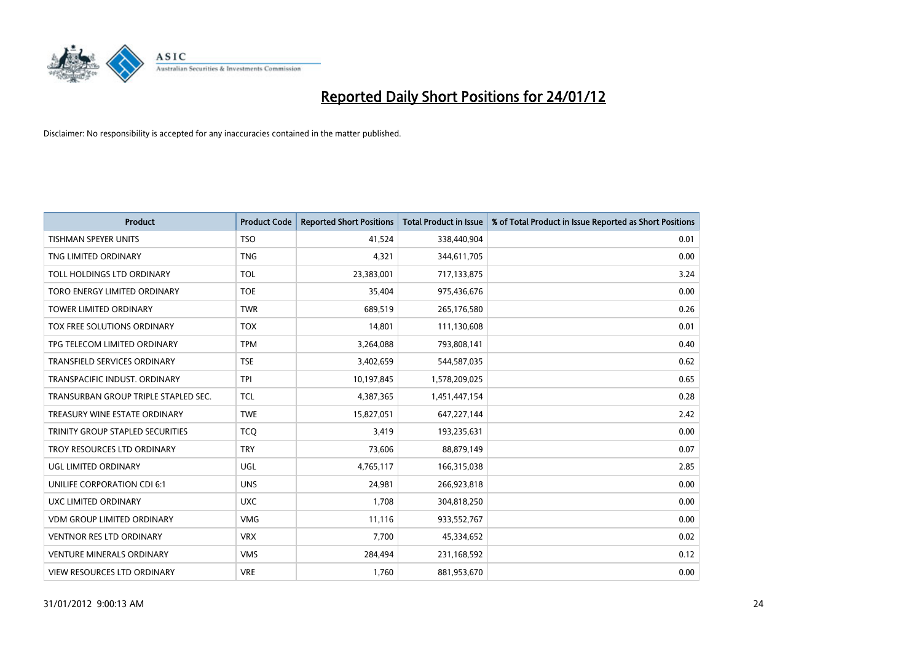

| <b>Product</b>                       | <b>Product Code</b> | <b>Reported Short Positions</b> | <b>Total Product in Issue</b> | % of Total Product in Issue Reported as Short Positions |
|--------------------------------------|---------------------|---------------------------------|-------------------------------|---------------------------------------------------------|
| <b>TISHMAN SPEYER UNITS</b>          | <b>TSO</b>          | 41,524                          | 338,440,904                   | 0.01                                                    |
| TNG LIMITED ORDINARY                 | <b>TNG</b>          | 4,321                           | 344,611,705                   | 0.00                                                    |
| TOLL HOLDINGS LTD ORDINARY           | <b>TOL</b>          | 23,383,001                      | 717,133,875                   | 3.24                                                    |
| TORO ENERGY LIMITED ORDINARY         | <b>TOE</b>          | 35,404                          | 975,436,676                   | 0.00                                                    |
| <b>TOWER LIMITED ORDINARY</b>        | <b>TWR</b>          | 689,519                         | 265,176,580                   | 0.26                                                    |
| TOX FREE SOLUTIONS ORDINARY          | <b>TOX</b>          | 14,801                          | 111,130,608                   | 0.01                                                    |
| TPG TELECOM LIMITED ORDINARY         | <b>TPM</b>          | 3,264,088                       | 793,808,141                   | 0.40                                                    |
| TRANSFIELD SERVICES ORDINARY         | <b>TSE</b>          | 3,402,659                       | 544,587,035                   | 0.62                                                    |
| TRANSPACIFIC INDUST, ORDINARY        | <b>TPI</b>          | 10,197,845                      | 1,578,209,025                 | 0.65                                                    |
| TRANSURBAN GROUP TRIPLE STAPLED SEC. | <b>TCL</b>          | 4,387,365                       | 1,451,447,154                 | 0.28                                                    |
| TREASURY WINE ESTATE ORDINARY        | <b>TWE</b>          | 15,827,051                      | 647,227,144                   | 2.42                                                    |
| TRINITY GROUP STAPLED SECURITIES     | <b>TCQ</b>          | 3,419                           | 193,235,631                   | 0.00                                                    |
| TROY RESOURCES LTD ORDINARY          | <b>TRY</b>          | 73,606                          | 88,879,149                    | 0.07                                                    |
| UGL LIMITED ORDINARY                 | UGL                 | 4,765,117                       | 166,315,038                   | 2.85                                                    |
| UNILIFE CORPORATION CDI 6:1          | <b>UNS</b>          | 24,981                          | 266,923,818                   | 0.00                                                    |
| UXC LIMITED ORDINARY                 | <b>UXC</b>          | 1,708                           | 304,818,250                   | 0.00                                                    |
| <b>VDM GROUP LIMITED ORDINARY</b>    | <b>VMG</b>          | 11,116                          | 933,552,767                   | 0.00                                                    |
| <b>VENTNOR RES LTD ORDINARY</b>      | <b>VRX</b>          | 7,700                           | 45,334,652                    | 0.02                                                    |
| <b>VENTURE MINERALS ORDINARY</b>     | <b>VMS</b>          | 284,494                         | 231,168,592                   | 0.12                                                    |
| VIEW RESOURCES LTD ORDINARY          | <b>VRE</b>          | 1,760                           | 881,953,670                   | 0.00                                                    |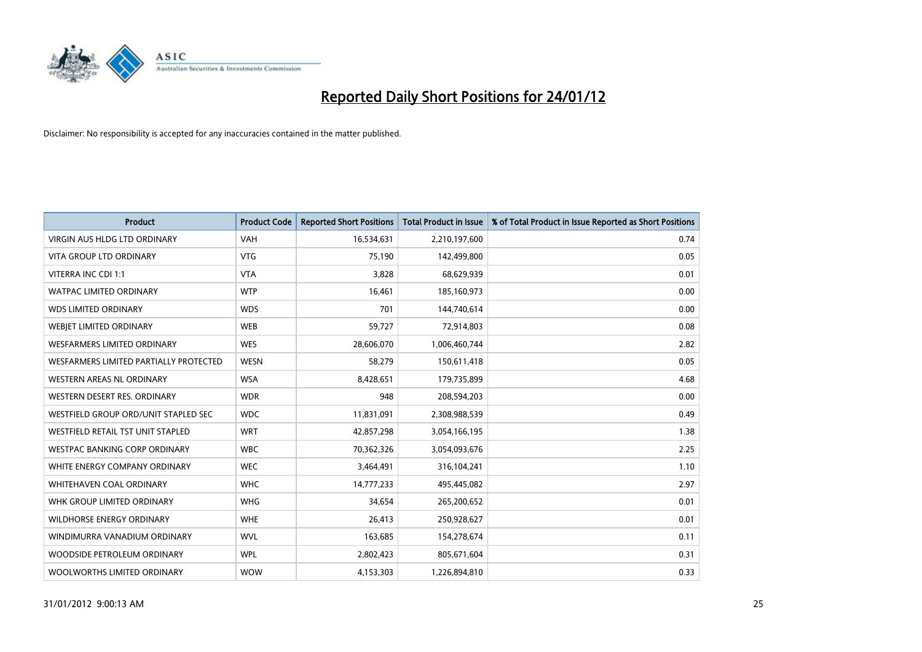

| <b>Product</b>                         | <b>Product Code</b> | <b>Reported Short Positions</b> | <b>Total Product in Issue</b> | % of Total Product in Issue Reported as Short Positions |
|----------------------------------------|---------------------|---------------------------------|-------------------------------|---------------------------------------------------------|
| <b>VIRGIN AUS HLDG LTD ORDINARY</b>    | <b>VAH</b>          | 16,534,631                      | 2,210,197,600                 | 0.74                                                    |
| <b>VITA GROUP LTD ORDINARY</b>         | <b>VTG</b>          | 75,190                          | 142,499,800                   | 0.05                                                    |
| VITERRA INC CDI 1:1                    | <b>VTA</b>          | 3,828                           | 68,629,939                    | 0.01                                                    |
| WATPAC LIMITED ORDINARY                | <b>WTP</b>          | 16,461                          | 185,160,973                   | 0.00                                                    |
| <b>WDS LIMITED ORDINARY</b>            | <b>WDS</b>          | 701                             | 144,740,614                   | 0.00                                                    |
| WEBIET LIMITED ORDINARY                | <b>WEB</b>          | 59,727                          | 72,914,803                    | 0.08                                                    |
| <b>WESFARMERS LIMITED ORDINARY</b>     | <b>WES</b>          | 28,606,070                      | 1,006,460,744                 | 2.82                                                    |
| WESFARMERS LIMITED PARTIALLY PROTECTED | <b>WESN</b>         | 58,279                          | 150,611,418                   | 0.05                                                    |
| <b>WESTERN AREAS NL ORDINARY</b>       | <b>WSA</b>          | 8,428,651                       | 179,735,899                   | 4.68                                                    |
| WESTERN DESERT RES. ORDINARY           | <b>WDR</b>          | 948                             | 208,594,203                   | 0.00                                                    |
| WESTFIELD GROUP ORD/UNIT STAPLED SEC   | <b>WDC</b>          | 11,831,091                      | 2,308,988,539                 | 0.49                                                    |
| WESTFIELD RETAIL TST UNIT STAPLED      | <b>WRT</b>          | 42,857,298                      | 3,054,166,195                 | 1.38                                                    |
| WESTPAC BANKING CORP ORDINARY          | <b>WBC</b>          | 70,362,326                      | 3,054,093,676                 | 2.25                                                    |
| WHITE ENERGY COMPANY ORDINARY          | <b>WEC</b>          | 3,464,491                       | 316,104,241                   | 1.10                                                    |
| <b>WHITEHAVEN COAL ORDINARY</b>        | <b>WHC</b>          | 14,777,233                      | 495,445,082                   | 2.97                                                    |
| WHK GROUP LIMITED ORDINARY             | <b>WHG</b>          | 34,654                          | 265,200,652                   | 0.01                                                    |
| WILDHORSE ENERGY ORDINARY              | <b>WHE</b>          | 26,413                          | 250,928,627                   | 0.01                                                    |
| WINDIMURRA VANADIUM ORDINARY           | <b>WVL</b>          | 163,685                         | 154,278,674                   | 0.11                                                    |
| WOODSIDE PETROLEUM ORDINARY            | <b>WPL</b>          | 2,802,423                       | 805,671,604                   | 0.31                                                    |
| WOOLWORTHS LIMITED ORDINARY            | <b>WOW</b>          | 4,153,303                       | 1,226,894,810                 | 0.33                                                    |